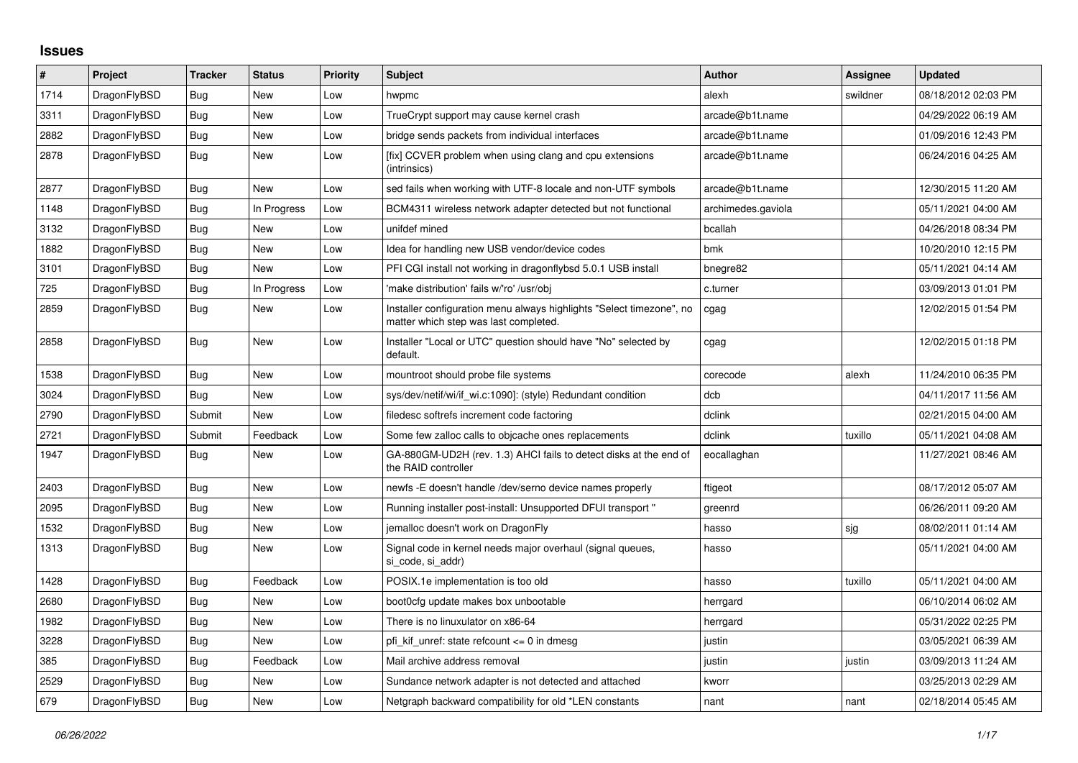## **Issues**

| $\vert$ # | Project      | <b>Tracker</b> | <b>Status</b> | <b>Priority</b> | <b>Subject</b>                                                                                                | <b>Author</b>      | Assignee | <b>Updated</b>      |
|-----------|--------------|----------------|---------------|-----------------|---------------------------------------------------------------------------------------------------------------|--------------------|----------|---------------------|
| 1714      | DragonFlyBSD | <b>Bug</b>     | <b>New</b>    | Low             | hwpmc                                                                                                         | alexh              | swildner | 08/18/2012 02:03 PM |
| 3311      | DragonFlyBSD | Bug            | <b>New</b>    | Low             | TrueCrypt support may cause kernel crash                                                                      | arcade@b1t.name    |          | 04/29/2022 06:19 AM |
| 2882      | DragonFlyBSD | Bug            | New           | Low             | bridge sends packets from individual interfaces                                                               | arcade@b1t.name    |          | 01/09/2016 12:43 PM |
| 2878      | DragonFlyBSD | <b>Bug</b>     | New           | Low             | [fix] CCVER problem when using clang and cpu extensions<br>(intrinsics)                                       | arcade@b1t.name    |          | 06/24/2016 04:25 AM |
| 2877      | DragonFlyBSD | Bug            | <b>New</b>    | Low             | sed fails when working with UTF-8 locale and non-UTF symbols                                                  | arcade@b1t.name    |          | 12/30/2015 11:20 AM |
| 1148      | DragonFlyBSD | Bug            | In Progress   | Low             | BCM4311 wireless network adapter detected but not functional                                                  | archimedes.gaviola |          | 05/11/2021 04:00 AM |
| 3132      | DragonFlyBSD | Bug            | <b>New</b>    | Low             | unifdef mined                                                                                                 | bcallah            |          | 04/26/2018 08:34 PM |
| 1882      | DragonFlyBSD | <b>Bug</b>     | New           | Low             | Idea for handling new USB vendor/device codes                                                                 | bmk                |          | 10/20/2010 12:15 PM |
| 3101      | DragonFlyBSD | Bug            | <b>New</b>    | Low             | PFI CGI install not working in dragonflybsd 5.0.1 USB install                                                 | bnegre82           |          | 05/11/2021 04:14 AM |
| 725       | DragonFlyBSD | <b>Bug</b>     | In Progress   | Low             | 'make distribution' fails w/'ro' /usr/obj                                                                     | c.turner           |          | 03/09/2013 01:01 PM |
| 2859      | DragonFlyBSD | Bug            | New           | Low             | Installer configuration menu always highlights "Select timezone", no<br>matter which step was last completed. | cgag               |          | 12/02/2015 01:54 PM |
| 2858      | DragonFlyBSD | Bug            | New           | Low             | Installer "Local or UTC" question should have "No" selected by<br>default.                                    | cgag               |          | 12/02/2015 01:18 PM |
| 1538      | DragonFlyBSD | Bug            | New           | Low             | mountroot should probe file systems                                                                           | corecode           | alexh    | 11/24/2010 06:35 PM |
| 3024      | DragonFlyBSD | <b>Bug</b>     | <b>New</b>    | Low             | sys/dev/netif/wi/if_wi.c:1090]: (style) Redundant condition                                                   | dcb                |          | 04/11/2017 11:56 AM |
| 2790      | DragonFlyBSD | Submit         | New           | Low             | filedesc softrefs increment code factoring                                                                    | dclink             |          | 02/21/2015 04:00 AM |
| 2721      | DragonFlyBSD | Submit         | Feedback      | Low             | Some few zalloc calls to objcache ones replacements                                                           | dclink             | tuxillo  | 05/11/2021 04:08 AM |
| 1947      | DragonFlyBSD | Bug            | New           | Low             | GA-880GM-UD2H (rev. 1.3) AHCI fails to detect disks at the end of<br>the RAID controller                      | eocallaghan        |          | 11/27/2021 08:46 AM |
| 2403      | DragonFlyBSD | Bug            | <b>New</b>    | Low             | newfs -E doesn't handle /dev/serno device names properly                                                      | ftigeot            |          | 08/17/2012 05:07 AM |
| 2095      | DragonFlyBSD | Bug            | <b>New</b>    | Low             | Running installer post-install: Unsupported DFUI transport "                                                  | greenrd            |          | 06/26/2011 09:20 AM |
| 1532      | DragonFlyBSD | <b>Bug</b>     | <b>New</b>    | Low             | jemalloc doesn't work on DragonFly                                                                            | hasso              | sjg      | 08/02/2011 01:14 AM |
| 1313      | DragonFlyBSD | Bug            | New           | Low             | Signal code in kernel needs major overhaul (signal queues,<br>si_code, si_addr)                               | hasso              |          | 05/11/2021 04:00 AM |
| 1428      | DragonFlyBSD | Bug            | Feedback      | Low             | POSIX.1e implementation is too old                                                                            | hasso              | tuxillo  | 05/11/2021 04:00 AM |
| 2680      | DragonFlyBSD | Bug            | <b>New</b>    | Low             | boot0cfg update makes box unbootable                                                                          | herrgard           |          | 06/10/2014 06:02 AM |
| 1982      | DragonFlyBSD | <b>Bug</b>     | New           | Low             | There is no linuxulator on x86-64                                                                             | herrgard           |          | 05/31/2022 02:25 PM |
| 3228      | DragonFlyBSD | Bug            | New           | Low             | pfi kif unref: state refcount $\leq 0$ in dmesg                                                               | justin             |          | 03/05/2021 06:39 AM |
| 385       | DragonFlyBSD | Bug            | Feedback      | Low             | Mail archive address removal                                                                                  | justin             | justin   | 03/09/2013 11:24 AM |
| 2529      | DragonFlyBSD | Bug            | <b>New</b>    | Low             | Sundance network adapter is not detected and attached                                                         | kworr              |          | 03/25/2013 02:29 AM |
| 679       | DragonFlyBSD | <b>Bug</b>     | <b>New</b>    | Low             | Netgraph backward compatibility for old *LEN constants                                                        | nant               | nant     | 02/18/2014 05:45 AM |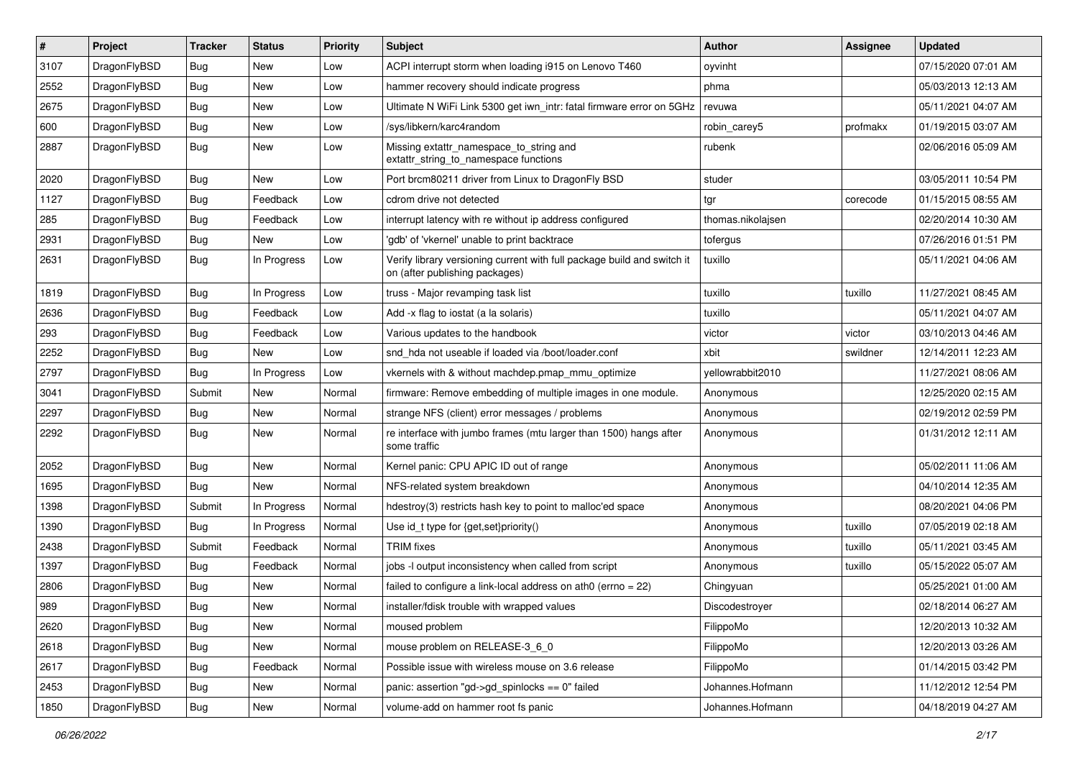| #    | Project      | <b>Tracker</b> | <b>Status</b> | <b>Priority</b> | Subject                                                                                                   | Author            | Assignee | <b>Updated</b>      |
|------|--------------|----------------|---------------|-----------------|-----------------------------------------------------------------------------------------------------------|-------------------|----------|---------------------|
| 3107 | DragonFlyBSD | <b>Bug</b>     | New           | Low             | ACPI interrupt storm when loading i915 on Lenovo T460                                                     | oyvinht           |          | 07/15/2020 07:01 AM |
| 2552 | DragonFlyBSD | <b>Bug</b>     | <b>New</b>    | Low             | hammer recovery should indicate progress                                                                  | phma              |          | 05/03/2013 12:13 AM |
| 2675 | DragonFlyBSD | <b>Bug</b>     | New           | Low             | Ultimate N WiFi Link 5300 get iwn_intr: fatal firmware error on 5GHz                                      | revuwa            |          | 05/11/2021 04:07 AM |
| 600  | DragonFlyBSD | Bug            | New           | Low             | /sys/libkern/karc4random                                                                                  | robin carey5      | profmakx | 01/19/2015 03:07 AM |
| 2887 | DragonFlyBSD | <b>Bug</b>     | New           | Low             | Missing extattr_namespace_to_string and<br>extattr_string_to_namespace functions                          | rubenk            |          | 02/06/2016 05:09 AM |
| 2020 | DragonFlyBSD | <b>Bug</b>     | <b>New</b>    | Low             | Port brcm80211 driver from Linux to DragonFly BSD                                                         | studer            |          | 03/05/2011 10:54 PM |
| 1127 | DragonFlyBSD | <b>Bug</b>     | Feedback      | Low             | cdrom drive not detected                                                                                  | tgr               | corecode | 01/15/2015 08:55 AM |
| 285  | DragonFlyBSD | Bug            | Feedback      | Low             | interrupt latency with re without ip address configured                                                   | thomas.nikolajsen |          | 02/20/2014 10:30 AM |
| 2931 | DragonFlyBSD | <b>Bug</b>     | New           | Low             | 'gdb' of 'vkernel' unable to print backtrace                                                              | tofergus          |          | 07/26/2016 01:51 PM |
| 2631 | DragonFlyBSD | <b>Bug</b>     | In Progress   | Low             | Verify library versioning current with full package build and switch it<br>on (after publishing packages) | tuxillo           |          | 05/11/2021 04:06 AM |
| 1819 | DragonFlyBSD | <b>Bug</b>     | In Progress   | Low             | truss - Major revamping task list                                                                         | tuxillo           | tuxillo  | 11/27/2021 08:45 AM |
| 2636 | DragonFlyBSD | <b>Bug</b>     | Feedback      | Low             | Add -x flag to iostat (a la solaris)                                                                      | tuxillo           |          | 05/11/2021 04:07 AM |
| 293  | DragonFlyBSD | Bug            | Feedback      | Low             | Various updates to the handbook                                                                           | victor            | victor   | 03/10/2013 04:46 AM |
| 2252 | DragonFlyBSD | <b>Bug</b>     | New           | Low             | snd hda not useable if loaded via /boot/loader.conf                                                       | xbit              | swildner | 12/14/2011 12:23 AM |
| 2797 | DragonFlyBSD | Bug            | In Progress   | Low             | vkernels with & without machdep.pmap_mmu_optimize                                                         | yellowrabbit2010  |          | 11/27/2021 08:06 AM |
| 3041 | DragonFlyBSD | Submit         | <b>New</b>    | Normal          | firmware: Remove embedding of multiple images in one module.                                              | Anonymous         |          | 12/25/2020 02:15 AM |
| 2297 | DragonFlyBSD | Bug            | New           | Normal          | strange NFS (client) error messages / problems                                                            | Anonymous         |          | 02/19/2012 02:59 PM |
| 2292 | DragonFlyBSD | Bug            | New           | Normal          | re interface with jumbo frames (mtu larger than 1500) hangs after<br>some traffic                         | Anonymous         |          | 01/31/2012 12:11 AM |
| 2052 | DragonFlyBSD | <b>Bug</b>     | New           | Normal          | Kernel panic: CPU APIC ID out of range                                                                    | Anonymous         |          | 05/02/2011 11:06 AM |
| 1695 | DragonFlyBSD | Bug            | New           | Normal          | NFS-related system breakdown                                                                              | Anonymous         |          | 04/10/2014 12:35 AM |
| 1398 | DragonFlyBSD | Submit         | In Progress   | Normal          | hdestroy(3) restricts hash key to point to malloc'ed space                                                | Anonymous         |          | 08/20/2021 04:06 PM |
| 1390 | DragonFlyBSD | Bug            | In Progress   | Normal          | Use id_t type for {get, set}priority()                                                                    | Anonymous         | tuxillo  | 07/05/2019 02:18 AM |
| 2438 | DragonFlyBSD | Submit         | Feedback      | Normal          | <b>TRIM</b> fixes                                                                                         | Anonymous         | tuxillo  | 05/11/2021 03:45 AM |
| 1397 | DragonFlyBSD | <b>Bug</b>     | Feedback      | Normal          | jobs -I output inconsistency when called from script                                                      | Anonymous         | tuxillo  | 05/15/2022 05:07 AM |
| 2806 | DragonFlyBSD | Bug            | New           | Normal          | failed to configure a link-local address on ath $0$ (errno = 22)                                          | Chingyuan         |          | 05/25/2021 01:00 AM |
| 989  | DragonFlyBSD | Bug            | New           | Normal          | installer/fdisk trouble with wrapped values                                                               | Discodestroyer    |          | 02/18/2014 06:27 AM |
| 2620 | DragonFlyBSD | <b>Bug</b>     | New           | Normal          | moused problem                                                                                            | FilippoMo         |          | 12/20/2013 10:32 AM |
| 2618 | DragonFlyBSD | <b>Bug</b>     | New           | Normal          | mouse problem on RELEASE-3_6_0                                                                            | FilippoMo         |          | 12/20/2013 03:26 AM |
| 2617 | DragonFlyBSD | <b>Bug</b>     | Feedback      | Normal          | Possible issue with wireless mouse on 3.6 release                                                         | FilippoMo         |          | 01/14/2015 03:42 PM |
| 2453 | DragonFlyBSD | Bug            | New           | Normal          | panic: assertion "gd->gd_spinlocks == 0" failed                                                           | Johannes.Hofmann  |          | 11/12/2012 12:54 PM |
| 1850 | DragonFlyBSD | Bug            | New           | Normal          | volume-add on hammer root fs panic                                                                        | Johannes.Hofmann  |          | 04/18/2019 04:27 AM |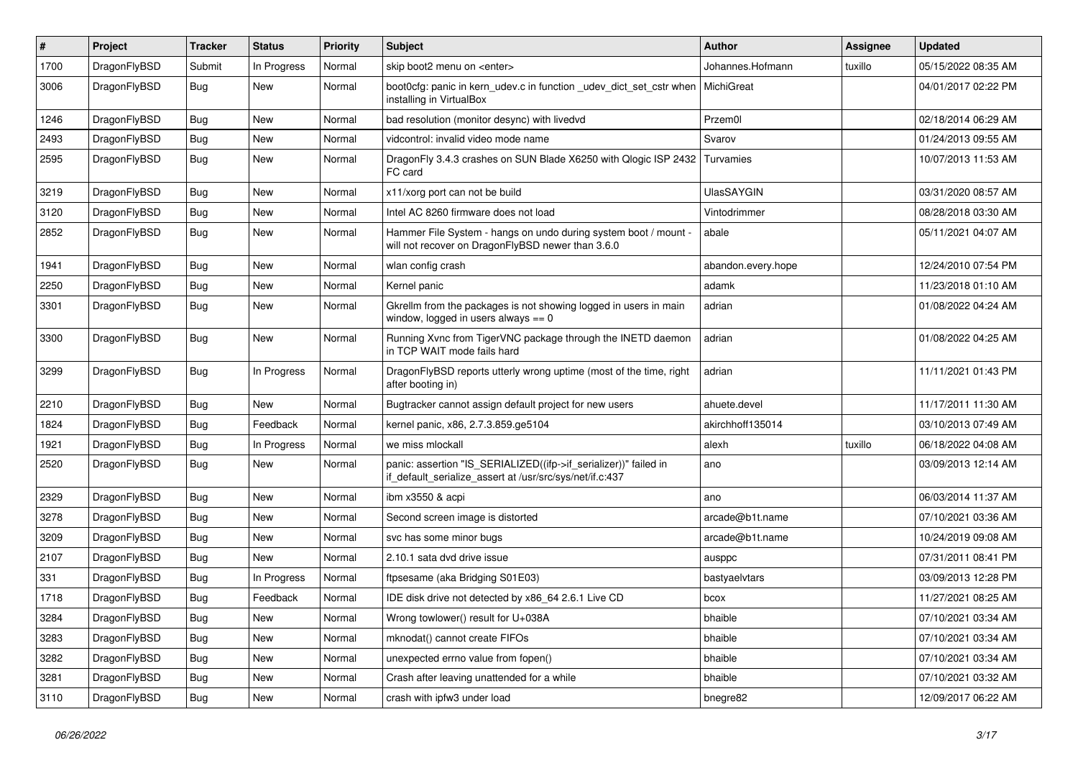| $\sharp$ | Project      | <b>Tracker</b> | <b>Status</b> | <b>Priority</b> | <b>Subject</b>                                                                                                               | <b>Author</b>      | Assignee | <b>Updated</b>      |
|----------|--------------|----------------|---------------|-----------------|------------------------------------------------------------------------------------------------------------------------------|--------------------|----------|---------------------|
| 1700     | DragonFlyBSD | Submit         | In Progress   | Normal          | skip boot2 menu on <enter></enter>                                                                                           | Johannes.Hofmann   | tuxillo  | 05/15/2022 08:35 AM |
| 3006     | DragonFlyBSD | Bug            | New           | Normal          | boot0cfg: panic in kern_udev.c in function _udev_dict_set_cstr when<br>installing in VirtualBox                              | MichiGreat         |          | 04/01/2017 02:22 PM |
| 1246     | DragonFlyBSD | Bug            | <b>New</b>    | Normal          | bad resolution (monitor desync) with livedvd                                                                                 | Przem0l            |          | 02/18/2014 06:29 AM |
| 2493     | DragonFlyBSD | Bug            | <b>New</b>    | Normal          | vidcontrol: invalid video mode name                                                                                          | Svarov             |          | 01/24/2013 09:55 AM |
| 2595     | DragonFlyBSD | Bug            | New           | Normal          | DragonFly 3.4.3 crashes on SUN Blade X6250 with Qlogic ISP 2432<br>FC card                                                   | Turvamies          |          | 10/07/2013 11:53 AM |
| 3219     | DragonFlyBSD | Bug            | <b>New</b>    | Normal          | x11/xorg port can not be build                                                                                               | <b>UlasSAYGIN</b>  |          | 03/31/2020 08:57 AM |
| 3120     | DragonFlyBSD | Bug            | <b>New</b>    | Normal          | Intel AC 8260 firmware does not load                                                                                         | Vintodrimmer       |          | 08/28/2018 03:30 AM |
| 2852     | DragonFlyBSD | Bug            | New           | Normal          | Hammer File System - hangs on undo during system boot / mount -<br>will not recover on DragonFlyBSD newer than 3.6.0         | abale              |          | 05/11/2021 04:07 AM |
| 1941     | DragonFlyBSD | Bug            | <b>New</b>    | Normal          | wlan config crash                                                                                                            | abandon.every.hope |          | 12/24/2010 07:54 PM |
| 2250     | DragonFlyBSD | Bug            | <b>New</b>    | Normal          | Kernel panic                                                                                                                 | adamk              |          | 11/23/2018 01:10 AM |
| 3301     | DragonFlyBSD | Bug            | New           | Normal          | Gkrellm from the packages is not showing logged in users in main<br>window, logged in users always $== 0$                    | adrian             |          | 01/08/2022 04:24 AM |
| 3300     | DragonFlyBSD | <b>Bug</b>     | New           | Normal          | Running Xvnc from TigerVNC package through the INETD daemon<br>in TCP WAIT mode fails hard                                   | adrian             |          | 01/08/2022 04:25 AM |
| 3299     | DragonFlyBSD | Bug            | In Progress   | Normal          | DragonFlyBSD reports utterly wrong uptime (most of the time, right<br>after booting in)                                      | adrian             |          | 11/11/2021 01:43 PM |
| 2210     | DragonFlyBSD | Bug            | <b>New</b>    | Normal          | Bugtracker cannot assign default project for new users                                                                       | ahuete.devel       |          | 11/17/2011 11:30 AM |
| 1824     | DragonFlyBSD | Bug            | Feedback      | Normal          | kernel panic, x86, 2.7.3.859.ge5104                                                                                          | akirchhoff135014   |          | 03/10/2013 07:49 AM |
| 1921     | DragonFlyBSD | Bug            | In Progress   | Normal          | we miss mlockall                                                                                                             | alexh              | tuxillo  | 06/18/2022 04:08 AM |
| 2520     | DragonFlyBSD | Bug            | <b>New</b>    | Normal          | panic: assertion "IS_SERIALIZED((ifp->if_serializer))" failed in<br>if_default_serialize_assert at /usr/src/sys/net/if.c:437 | ano                |          | 03/09/2013 12:14 AM |
| 2329     | DragonFlyBSD | Bug            | New           | Normal          | ibm x3550 & acpi                                                                                                             | ano                |          | 06/03/2014 11:37 AM |
| 3278     | DragonFlyBSD | Bug            | New           | Normal          | Second screen image is distorted                                                                                             | arcade@b1t.name    |          | 07/10/2021 03:36 AM |
| 3209     | DragonFlyBSD | Bug            | New           | Normal          | svc has some minor bugs                                                                                                      | arcade@b1t.name    |          | 10/24/2019 09:08 AM |
| 2107     | DragonFlyBSD | Bug            | <b>New</b>    | Normal          | 2.10.1 sata dvd drive issue                                                                                                  | ausppc             |          | 07/31/2011 08:41 PM |
| 331      | DragonFlyBSD | Bug            | In Progress   | Normal          | ftpsesame (aka Bridging S01E03)                                                                                              | bastyaelvtars      |          | 03/09/2013 12:28 PM |
| 1718     | DragonFlyBSD | Bug            | Feedback      | Normal          | IDE disk drive not detected by x86_64 2.6.1 Live CD                                                                          | bcox               |          | 11/27/2021 08:25 AM |
| 3284     | DragonFlyBSD | <b>Bug</b>     | New           | Normal          | Wrong towlower() result for U+038A                                                                                           | bhaible            |          | 07/10/2021 03:34 AM |
| 3283     | DragonFlyBSD | <b>Bug</b>     | New           | Normal          | mknodat() cannot create FIFOs                                                                                                | bhaible            |          | 07/10/2021 03:34 AM |
| 3282     | DragonFlyBSD | Bug            | New           | Normal          | unexpected errno value from fopen()                                                                                          | bhaible            |          | 07/10/2021 03:34 AM |
| 3281     | DragonFlyBSD | <b>Bug</b>     | <b>New</b>    | Normal          | Crash after leaving unattended for a while                                                                                   | bhaible            |          | 07/10/2021 03:32 AM |
| 3110     | DragonFlyBSD | <b>Bug</b>     | New           | Normal          | crash with ipfw3 under load                                                                                                  | bnegre82           |          | 12/09/2017 06:22 AM |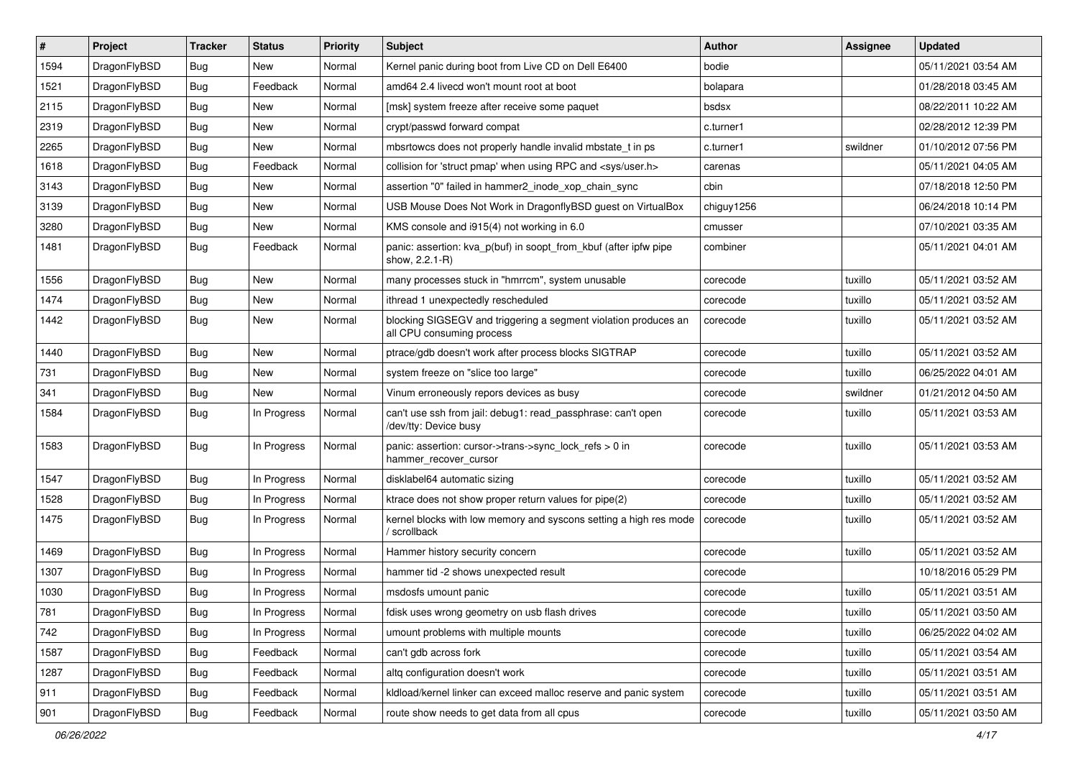| #    | Project      | <b>Tracker</b> | <b>Status</b> | <b>Priority</b> | Subject                                                                                      | <b>Author</b> | Assignee | <b>Updated</b>      |
|------|--------------|----------------|---------------|-----------------|----------------------------------------------------------------------------------------------|---------------|----------|---------------------|
| 1594 | DragonFlyBSD | Bug            | New           | Normal          | Kernel panic during boot from Live CD on Dell E6400                                          | bodie         |          | 05/11/2021 03:54 AM |
| 1521 | DragonFlyBSD | Bug            | Feedback      | Normal          | amd64 2.4 livecd won't mount root at boot                                                    | bolapara      |          | 01/28/2018 03:45 AM |
| 2115 | DragonFlyBSD | Bug            | New           | Normal          | [msk] system freeze after receive some paquet                                                | bsdsx         |          | 08/22/2011 10:22 AM |
| 2319 | DragonFlyBSD | Bug            | <b>New</b>    | Normal          | crypt/passwd forward compat                                                                  | c.turner1     |          | 02/28/2012 12:39 PM |
| 2265 | DragonFlyBSD | Bug            | New           | Normal          | mbsrtowcs does not properly handle invalid mbstate t in ps                                   | c.turner1     | swildner | 01/10/2012 07:56 PM |
| 1618 | DragonFlyBSD | Bug            | Feedback      | Normal          | collision for 'struct pmap' when using RPC and <sys user.h=""></sys>                         | carenas       |          | 05/11/2021 04:05 AM |
| 3143 | DragonFlyBSD | Bug            | New           | Normal          | assertion "0" failed in hammer2_inode_xop_chain_sync                                         | cbin          |          | 07/18/2018 12:50 PM |
| 3139 | DragonFlyBSD | Bug            | New           | Normal          | USB Mouse Does Not Work in DragonflyBSD guest on VirtualBox                                  | chiguy1256    |          | 06/24/2018 10:14 PM |
| 3280 | DragonFlyBSD | Bug            | <b>New</b>    | Normal          | KMS console and i915(4) not working in 6.0                                                   | cmusser       |          | 07/10/2021 03:35 AM |
| 1481 | DragonFlyBSD | Bug            | Feedback      | Normal          | panic: assertion: kva_p(buf) in soopt_from_kbuf (after ipfw pipe<br>show, 2.2.1-R)           | combiner      |          | 05/11/2021 04:01 AM |
| 1556 | DragonFlyBSD | Bug            | <b>New</b>    | Normal          | many processes stuck in "hmrrcm", system unusable                                            | corecode      | tuxillo  | 05/11/2021 03:52 AM |
| 1474 | DragonFlyBSD | Bug            | <b>New</b>    | Normal          | ithread 1 unexpectedly rescheduled                                                           | corecode      | tuxillo  | 05/11/2021 03:52 AM |
| 1442 | DragonFlyBSD | Bug            | <b>New</b>    | Normal          | blocking SIGSEGV and triggering a segment violation produces an<br>all CPU consuming process | corecode      | tuxillo  | 05/11/2021 03:52 AM |
| 1440 | DragonFlyBSD | Bug            | <b>New</b>    | Normal          | ptrace/gdb doesn't work after process blocks SIGTRAP                                         | corecode      | tuxillo  | 05/11/2021 03:52 AM |
| 731  | DragonFlyBSD | Bug            | <b>New</b>    | Normal          | system freeze on "slice too large"                                                           | corecode      | tuxillo  | 06/25/2022 04:01 AM |
| 341  | DragonFlyBSD | Bug            | <b>New</b>    | Normal          | Vinum erroneously repors devices as busy                                                     | corecode      | swildner | 01/21/2012 04:50 AM |
| 1584 | DragonFlyBSD | Bug            | In Progress   | Normal          | can't use ssh from jail: debug1: read_passphrase: can't open<br>/dev/tty: Device busy        | corecode      | tuxillo  | 05/11/2021 03:53 AM |
| 1583 | DragonFlyBSD | Bug            | In Progress   | Normal          | panic: assertion: cursor->trans->sync_lock_refs > 0 in<br>hammer_recover_cursor              | corecode      | tuxillo  | 05/11/2021 03:53 AM |
| 1547 | DragonFlyBSD | Bug            | In Progress   | Normal          | disklabel64 automatic sizing                                                                 | corecode      | tuxillo  | 05/11/2021 03:52 AM |
| 1528 | DragonFlyBSD | Bug            | In Progress   | Normal          | ktrace does not show proper return values for pipe(2)                                        | corecode      | tuxillo  | 05/11/2021 03:52 AM |
| 1475 | DragonFlyBSD | Bug            | In Progress   | Normal          | kernel blocks with low memory and syscons setting a high res mode<br>/ scrollback            | corecode      | tuxillo  | 05/11/2021 03:52 AM |
| 1469 | DragonFlyBSD | Bug            | In Progress   | Normal          | Hammer history security concern                                                              | corecode      | tuxillo  | 05/11/2021 03:52 AM |
| 1307 | DragonFlyBSD | Bug            | In Progress   | Normal          | hammer tid -2 shows unexpected result                                                        | corecode      |          | 10/18/2016 05:29 PM |
| 1030 | DragonFlyBSD | Bug            | In Progress   | Normal          | msdosfs umount panic                                                                         | corecode      | tuxillo  | 05/11/2021 03:51 AM |
| 781  | DragonFlyBSD | Bug            | In Progress   | Normal          | fdisk uses wrong geometry on usb flash drives                                                | corecode      | tuxillo  | 05/11/2021 03:50 AM |
| 742  | DragonFlyBSD | Bug            | In Progress   | Normal          | umount problems with multiple mounts                                                         | corecode      | tuxillo  | 06/25/2022 04:02 AM |
| 1587 | DragonFlyBSD | <b>Bug</b>     | Feedback      | Normal          | can't gdb across fork                                                                        | corecode      | tuxillo  | 05/11/2021 03:54 AM |
| 1287 | DragonFlyBSD | <b>Bug</b>     | Feedback      | Normal          | altq configuration doesn't work                                                              | corecode      | tuxillo  | 05/11/2021 03:51 AM |
| 911  | DragonFlyBSD | Bug            | Feedback      | Normal          | kldload/kernel linker can exceed malloc reserve and panic system                             | corecode      | tuxillo  | 05/11/2021 03:51 AM |
| 901  | DragonFlyBSD | Bug            | Feedback      | Normal          | route show needs to get data from all cpus                                                   | corecode      | tuxillo  | 05/11/2021 03:50 AM |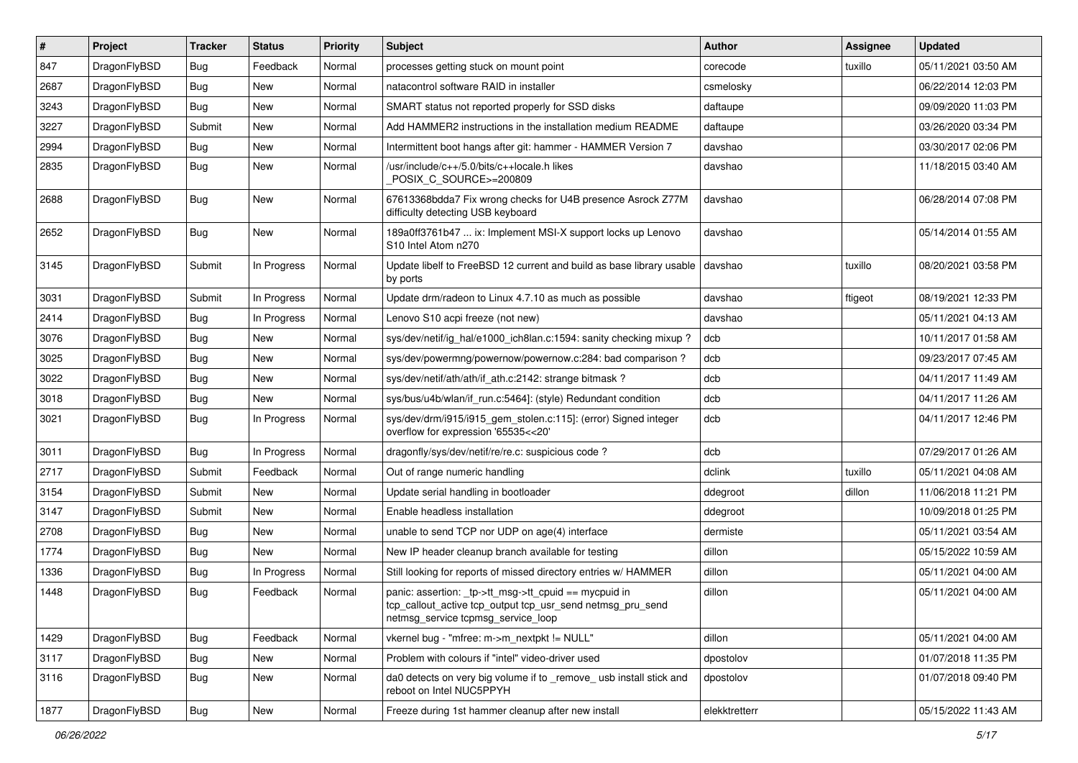| #    | Project      | <b>Tracker</b> | <b>Status</b> | <b>Priority</b> | <b>Subject</b>                                                                                                                                           | <b>Author</b> | Assignee | <b>Updated</b>      |
|------|--------------|----------------|---------------|-----------------|----------------------------------------------------------------------------------------------------------------------------------------------------------|---------------|----------|---------------------|
| 847  | DragonFlyBSD | <b>Bug</b>     | Feedback      | Normal          | processes getting stuck on mount point                                                                                                                   | corecode      | tuxillo  | 05/11/2021 03:50 AM |
| 2687 | DragonFlyBSD | Bug            | <b>New</b>    | Normal          | natacontrol software RAID in installer                                                                                                                   | csmelosky     |          | 06/22/2014 12:03 PM |
| 3243 | DragonFlyBSD | <b>Bug</b>     | <b>New</b>    | Normal          | SMART status not reported properly for SSD disks                                                                                                         | daftaupe      |          | 09/09/2020 11:03 PM |
| 3227 | DragonFlyBSD | Submit         | <b>New</b>    | Normal          | Add HAMMER2 instructions in the installation medium README                                                                                               | daftaupe      |          | 03/26/2020 03:34 PM |
| 2994 | DragonFlyBSD | <b>Bug</b>     | <b>New</b>    | Normal          | Intermittent boot hangs after git: hammer - HAMMER Version 7                                                                                             | davshao       |          | 03/30/2017 02:06 PM |
| 2835 | DragonFlyBSD | Bug            | New           | Normal          | /usr/include/c++/5.0/bits/c++locale.h likes<br>POSIX_C_SOURCE>=200809                                                                                    | davshao       |          | 11/18/2015 03:40 AM |
| 2688 | DragonFlyBSD | <b>Bug</b>     | New           | Normal          | 67613368bdda7 Fix wrong checks for U4B presence Asrock Z77M<br>difficulty detecting USB keyboard                                                         | davshao       |          | 06/28/2014 07:08 PM |
| 2652 | DragonFlyBSD | <b>Bug</b>     | New           | Normal          | 189a0ff3761b47  ix: Implement MSI-X support locks up Lenovo<br>S10 Intel Atom n270                                                                       | davshao       |          | 05/14/2014 01:55 AM |
| 3145 | DragonFlyBSD | Submit         | In Progress   | Normal          | Update libelf to FreeBSD 12 current and build as base library usable<br>by ports                                                                         | davshao       | tuxillo  | 08/20/2021 03:58 PM |
| 3031 | DragonFlyBSD | Submit         | In Progress   | Normal          | Update drm/radeon to Linux 4.7.10 as much as possible                                                                                                    | davshao       | ftigeot  | 08/19/2021 12:33 PM |
| 2414 | DragonFlyBSD | Bug            | In Progress   | Normal          | Lenovo S10 acpi freeze (not new)                                                                                                                         | davshao       |          | 05/11/2021 04:13 AM |
| 3076 | DragonFlyBSD | <b>Bug</b>     | <b>New</b>    | Normal          | sys/dev/netif/ig hal/e1000 ich8lan.c:1594: sanity checking mixup?                                                                                        | dcb           |          | 10/11/2017 01:58 AM |
| 3025 | DragonFlyBSD | <b>Bug</b>     | <b>New</b>    | Normal          | sys/dev/powermng/powernow/powernow.c:284: bad comparison?                                                                                                | dcb           |          | 09/23/2017 07:45 AM |
| 3022 | DragonFlyBSD | <b>Bug</b>     | <b>New</b>    | Normal          | sys/dev/netif/ath/ath/if_ath.c:2142: strange bitmask?                                                                                                    | dcb           |          | 04/11/2017 11:49 AM |
| 3018 | DragonFlyBSD | <b>Bug</b>     | New           | Normal          | sys/bus/u4b/wlan/if_run.c:5464]: (style) Redundant condition                                                                                             | dcb           |          | 04/11/2017 11:26 AM |
| 3021 | DragonFlyBSD | Bug            | In Progress   | Normal          | sys/dev/drm/i915/i915_gem_stolen.c:115]: (error) Signed integer<br>overflow for expression '65535<<20'                                                   | dcb           |          | 04/11/2017 12:46 PM |
| 3011 | DragonFlyBSD | <b>Bug</b>     | In Progress   | Normal          | dragonfly/sys/dev/netif/re/re.c: suspicious code?                                                                                                        | dcb           |          | 07/29/2017 01:26 AM |
| 2717 | DragonFlyBSD | Submit         | Feedback      | Normal          | Out of range numeric handling                                                                                                                            | dclink        | tuxillo  | 05/11/2021 04:08 AM |
| 3154 | DragonFlyBSD | Submit         | <b>New</b>    | Normal          | Update serial handling in bootloader                                                                                                                     | ddegroot      | dillon   | 11/06/2018 11:21 PM |
| 3147 | DragonFlyBSD | Submit         | <b>New</b>    | Normal          | Enable headless installation                                                                                                                             | ddegroot      |          | 10/09/2018 01:25 PM |
| 2708 | DragonFlyBSD | Bug            | <b>New</b>    | Normal          | unable to send TCP nor UDP on age(4) interface                                                                                                           | dermiste      |          | 05/11/2021 03:54 AM |
| 1774 | DragonFlyBSD | Bug            | <b>New</b>    | Normal          | New IP header cleanup branch available for testing                                                                                                       | dillon        |          | 05/15/2022 10:59 AM |
| 1336 | DragonFlyBSD | Bug            | In Progress   | Normal          | Still looking for reports of missed directory entries w/ HAMMER                                                                                          | dillon        |          | 05/11/2021 04:00 AM |
| 1448 | DragonFlyBSD | Bug            | Feedback      | Normal          | panic: assertion: tp->tt_msg->tt_cpuid == mycpuid in<br>tcp_callout_active tcp_output tcp_usr_send netmsg_pru_send<br>netmsg_service tcpmsg_service_loop | dillon        |          | 05/11/2021 04:00 AM |
| 1429 | DragonFlyBSD | <b>Bug</b>     | Feedback      | Normal          | vkernel bug - "mfree: m->m_nextpkt != NULL"                                                                                                              | dillon        |          | 05/11/2021 04:00 AM |
| 3117 | DragonFlyBSD | Bug            | New           | Normal          | Problem with colours if "intel" video-driver used                                                                                                        | dpostolov     |          | 01/07/2018 11:35 PM |
| 3116 | DragonFlyBSD | <b>Bug</b>     | New           | Normal          | da0 detects on very big volume if to _remove_ usb install stick and<br>reboot on Intel NUC5PPYH                                                          | dpostolov     |          | 01/07/2018 09:40 PM |
| 1877 | DragonFlyBSD | <b>Bug</b>     | New           | Normal          | Freeze during 1st hammer cleanup after new install                                                                                                       | elekktretterr |          | 05/15/2022 11:43 AM |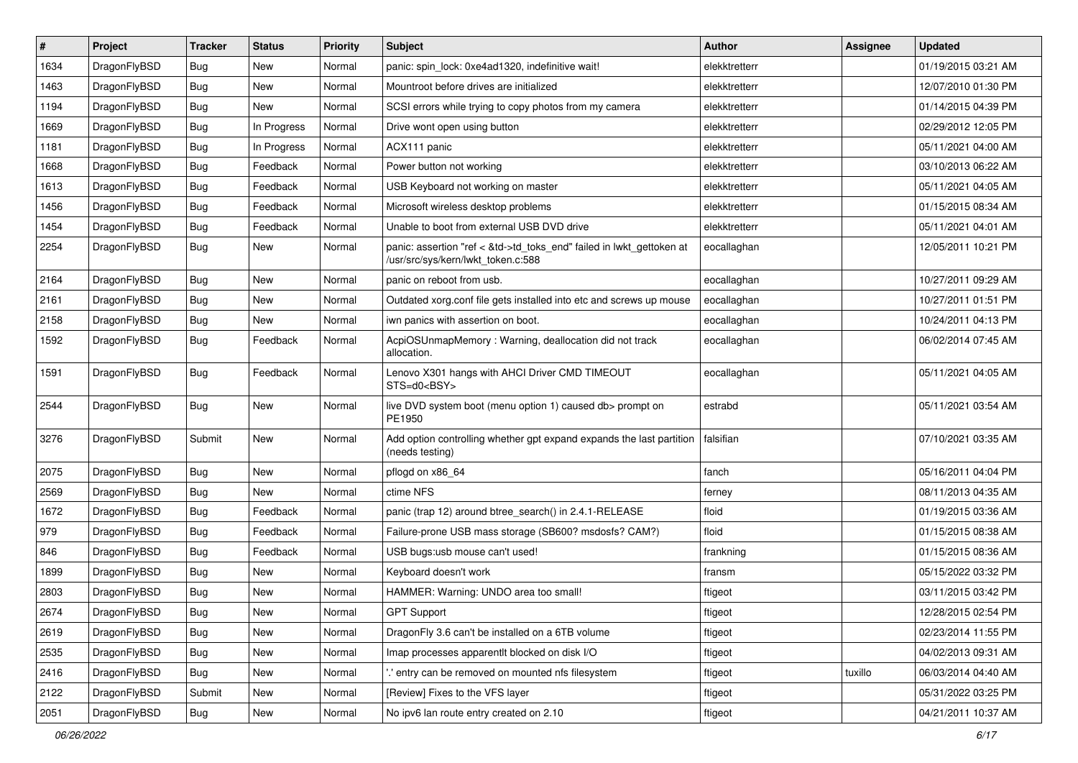| $\vert$ # | Project      | <b>Tracker</b> | <b>Status</b> | <b>Priority</b> | <b>Subject</b>                                                                                             | <b>Author</b> | Assignee | <b>Updated</b>      |
|-----------|--------------|----------------|---------------|-----------------|------------------------------------------------------------------------------------------------------------|---------------|----------|---------------------|
| 1634      | DragonFlyBSD | Bug            | New           | Normal          | panic: spin_lock: 0xe4ad1320, indefinitive wait!                                                           | elekktretterr |          | 01/19/2015 03:21 AM |
| 1463      | DragonFlyBSD | Bug            | <b>New</b>    | Normal          | Mountroot before drives are initialized                                                                    | elekktretterr |          | 12/07/2010 01:30 PM |
| 1194      | DragonFlyBSD | Bug            | New           | Normal          | SCSI errors while trying to copy photos from my camera                                                     | elekktretterr |          | 01/14/2015 04:39 PM |
| 1669      | DragonFlyBSD | <b>Bug</b>     | In Progress   | Normal          | Drive wont open using button                                                                               | elekktretterr |          | 02/29/2012 12:05 PM |
| 1181      | DragonFlyBSD | Bug            | In Progress   | Normal          | ACX111 panic                                                                                               | elekktretterr |          | 05/11/2021 04:00 AM |
| 1668      | DragonFlyBSD | <b>Bug</b>     | Feedback      | Normal          | Power button not working                                                                                   | elekktretterr |          | 03/10/2013 06:22 AM |
| 1613      | DragonFlyBSD | Bug            | Feedback      | Normal          | USB Keyboard not working on master                                                                         | elekktretterr |          | 05/11/2021 04:05 AM |
| 1456      | DragonFlyBSD | <b>Bug</b>     | Feedback      | Normal          | Microsoft wireless desktop problems                                                                        | elekktretterr |          | 01/15/2015 08:34 AM |
| 1454      | DragonFlyBSD | <b>Bug</b>     | Feedback      | Normal          | Unable to boot from external USB DVD drive                                                                 | elekktretterr |          | 05/11/2021 04:01 AM |
| 2254      | DragonFlyBSD | <b>Bug</b>     | New           | Normal          | panic: assertion "ref < &td->td_toks_end" failed in lwkt_gettoken at<br>/usr/src/sys/kern/lwkt_token.c:588 | eocallaghan   |          | 12/05/2011 10:21 PM |
| 2164      | DragonFlyBSD | Bug            | New           | Normal          | panic on reboot from usb.                                                                                  | eocallaghan   |          | 10/27/2011 09:29 AM |
| 2161      | DragonFlyBSD | Bug            | <b>New</b>    | Normal          | Outdated xorg.conf file gets installed into etc and screws up mouse                                        | eocallaghan   |          | 10/27/2011 01:51 PM |
| 2158      | DragonFlyBSD | <b>Bug</b>     | New           | Normal          | iwn panics with assertion on boot.                                                                         | eocallaghan   |          | 10/24/2011 04:13 PM |
| 1592      | DragonFlyBSD | Bug            | Feedback      | Normal          | AcpiOSUnmapMemory: Warning, deallocation did not track<br>allocation.                                      | eocallaghan   |          | 06/02/2014 07:45 AM |
| 1591      | DragonFlyBSD | <b>Bug</b>     | Feedback      | Normal          | Lenovo X301 hangs with AHCI Driver CMD TIMEOUT<br>STS=d0 <bsy></bsy>                                       | eocallaghan   |          | 05/11/2021 04:05 AM |
| 2544      | DragonFlyBSD | Bug            | <b>New</b>    | Normal          | live DVD system boot (menu option 1) caused db> prompt on<br>PE1950                                        | estrabd       |          | 05/11/2021 03:54 AM |
| 3276      | DragonFlyBSD | Submit         | New           | Normal          | Add option controlling whether gpt expand expands the last partition<br>(needs testing)                    | falsifian     |          | 07/10/2021 03:35 AM |
| 2075      | DragonFlyBSD | Bug            | <b>New</b>    | Normal          | pflogd on x86_64                                                                                           | fanch         |          | 05/16/2011 04:04 PM |
| 2569      | DragonFlyBSD | <b>Bug</b>     | New           | Normal          | ctime NFS                                                                                                  | ferney        |          | 08/11/2013 04:35 AM |
| 1672      | DragonFlyBSD | Bug            | Feedback      | Normal          | panic (trap 12) around btree_search() in 2.4.1-RELEASE                                                     | floid         |          | 01/19/2015 03:36 AM |
| 979       | DragonFlyBSD | <b>Bug</b>     | Feedback      | Normal          | Failure-prone USB mass storage (SB600? msdosfs? CAM?)                                                      | floid         |          | 01/15/2015 08:38 AM |
| 846       | DragonFlyBSD | <b>Bug</b>     | Feedback      | Normal          | USB bugs:usb mouse can't used!                                                                             | frankning     |          | 01/15/2015 08:36 AM |
| 1899      | DragonFlyBSD | <b>Bug</b>     | New           | Normal          | Keyboard doesn't work                                                                                      | fransm        |          | 05/15/2022 03:32 PM |
| 2803      | DragonFlyBSD | Bug            | <b>New</b>    | Normal          | HAMMER: Warning: UNDO area too small!                                                                      | ftigeot       |          | 03/11/2015 03:42 PM |
| 2674      | DragonFlyBSD | Bug            | <b>New</b>    | Normal          | <b>GPT Support</b>                                                                                         | ftigeot       |          | 12/28/2015 02:54 PM |
| 2619      | DragonFlyBSD | <b>Bug</b>     | <b>New</b>    | Normal          | DragonFly 3.6 can't be installed on a 6TB volume                                                           | ftigeot       |          | 02/23/2014 11:55 PM |
| 2535      | DragonFlyBSD | Bug            | New           | Normal          | Imap processes apparentlt blocked on disk I/O                                                              | ftigeot       |          | 04/02/2013 09:31 AM |
| 2416      | DragonFlyBSD | Bug            | New           | Normal          | ".' entry can be removed on mounted nfs filesystem                                                         | ftigeot       | tuxillo  | 06/03/2014 04:40 AM |
| 2122      | DragonFlyBSD | Submit         | New           | Normal          | [Review] Fixes to the VFS layer                                                                            | ftigeot       |          | 05/31/2022 03:25 PM |
| 2051      | DragonFlyBSD | <b>Bug</b>     | New           | Normal          | No ipv6 lan route entry created on 2.10                                                                    | ftigeot       |          | 04/21/2011 10:37 AM |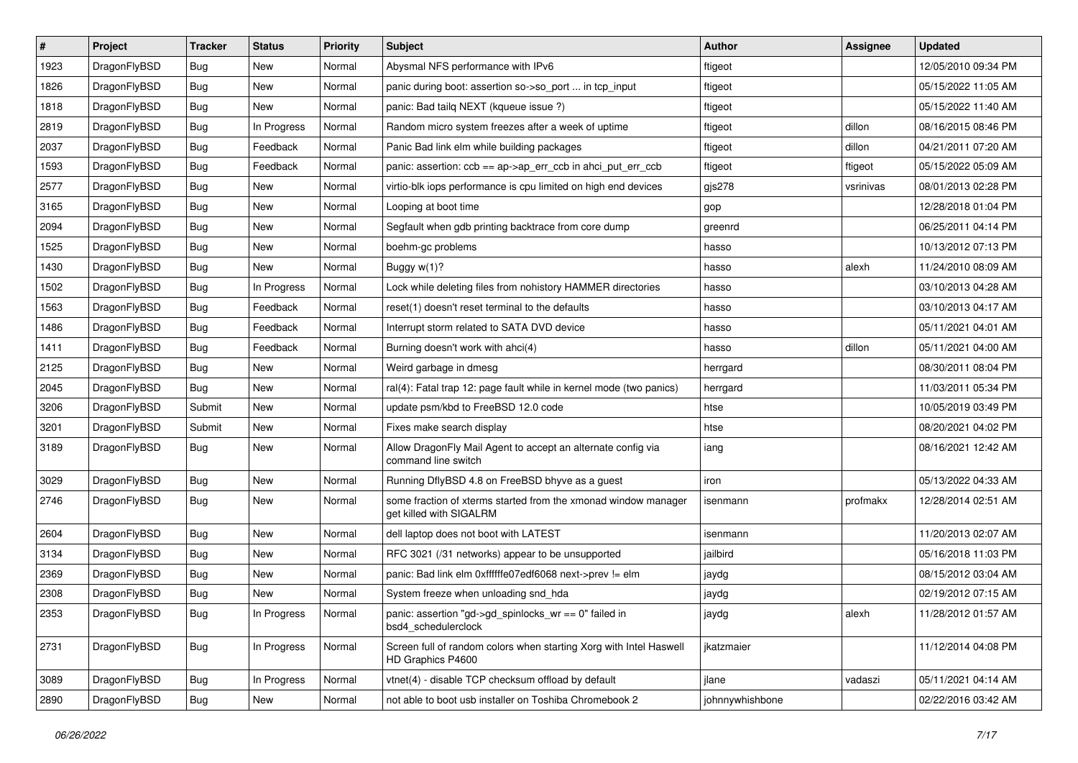| $\sharp$ | Project      | <b>Tracker</b> | <b>Status</b> | <b>Priority</b> | <b>Subject</b>                                                                            | <b>Author</b>   | Assignee  | <b>Updated</b>      |
|----------|--------------|----------------|---------------|-----------------|-------------------------------------------------------------------------------------------|-----------------|-----------|---------------------|
| 1923     | DragonFlyBSD | <b>Bug</b>     | New           | Normal          | Abysmal NFS performance with IPv6                                                         | ftigeot         |           | 12/05/2010 09:34 PM |
| 1826     | DragonFlyBSD | Bug            | New           | Normal          | panic during boot: assertion so->so_port  in tcp_input                                    | ftigeot         |           | 05/15/2022 11:05 AM |
| 1818     | DragonFlyBSD | <b>Bug</b>     | New           | Normal          | panic: Bad tailg NEXT (kqueue issue ?)                                                    | ftigeot         |           | 05/15/2022 11:40 AM |
| 2819     | DragonFlyBSD | <b>Bug</b>     | In Progress   | Normal          | Random micro system freezes after a week of uptime                                        | ftigeot         | dillon    | 08/16/2015 08:46 PM |
| 2037     | DragonFlyBSD | Bug            | Feedback      | Normal          | Panic Bad link elm while building packages                                                | ftigeot         | dillon    | 04/21/2011 07:20 AM |
| 1593     | DragonFlyBSD | <b>Bug</b>     | Feedback      | Normal          | panic: assertion: ccb == ap->ap_err_ccb in ahci_put_err_ccb                               | ftigeot         | ftigeot   | 05/15/2022 05:09 AM |
| 2577     | DragonFlyBSD | Bug            | New           | Normal          | virtio-blk iops performance is cpu limited on high end devices                            | gjs278          | vsrinivas | 08/01/2013 02:28 PM |
| 3165     | DragonFlyBSD | <b>Bug</b>     | <b>New</b>    | Normal          | Looping at boot time                                                                      | gop             |           | 12/28/2018 01:04 PM |
| 2094     | DragonFlyBSD | <b>Bug</b>     | New           | Normal          | Segfault when gdb printing backtrace from core dump                                       | greenrd         |           | 06/25/2011 04:14 PM |
| 1525     | DragonFlyBSD | Bug            | New           | Normal          | boehm-gc problems                                                                         | hasso           |           | 10/13/2012 07:13 PM |
| 1430     | DragonFlyBSD | <b>Bug</b>     | New           | Normal          | Buggy w(1)?                                                                               | hasso           | alexh     | 11/24/2010 08:09 AM |
| 1502     | DragonFlyBSD | Bug            | In Progress   | Normal          | Lock while deleting files from nohistory HAMMER directories                               | hasso           |           | 03/10/2013 04:28 AM |
| 1563     | DragonFlyBSD | <b>Bug</b>     | Feedback      | Normal          | reset(1) doesn't reset terminal to the defaults                                           | hasso           |           | 03/10/2013 04:17 AM |
| 1486     | DragonFlyBSD | <b>Bug</b>     | Feedback      | Normal          | Interrupt storm related to SATA DVD device                                                | hasso           |           | 05/11/2021 04:01 AM |
| 1411     | DragonFlyBSD | <b>Bug</b>     | Feedback      | Normal          | Burning doesn't work with ahci(4)                                                         | hasso           | dillon    | 05/11/2021 04:00 AM |
| 2125     | DragonFlyBSD | <b>Bug</b>     | New           | Normal          | Weird garbage in dmesg                                                                    | herrgard        |           | 08/30/2011 08:04 PM |
| 2045     | DragonFlyBSD | Bug            | <b>New</b>    | Normal          | ral(4): Fatal trap 12: page fault while in kernel mode (two panics)                       | herrgard        |           | 11/03/2011 05:34 PM |
| 3206     | DragonFlyBSD | Submit         | New           | Normal          | update psm/kbd to FreeBSD 12.0 code                                                       | htse            |           | 10/05/2019 03:49 PM |
| 3201     | DragonFlyBSD | Submit         | <b>New</b>    | Normal          | Fixes make search display                                                                 | htse            |           | 08/20/2021 04:02 PM |
| 3189     | DragonFlyBSD | Bug            | New           | Normal          | Allow DragonFly Mail Agent to accept an alternate config via<br>command line switch       | iang            |           | 08/16/2021 12:42 AM |
| 3029     | DragonFlyBSD | <b>Bug</b>     | <b>New</b>    | Normal          | Running DflyBSD 4.8 on FreeBSD bhyve as a guest                                           | iron            |           | 05/13/2022 04:33 AM |
| 2746     | DragonFlyBSD | Bug            | New           | Normal          | some fraction of xterms started from the xmonad window manager<br>get killed with SIGALRM | isenmann        | profmakx  | 12/28/2014 02:51 AM |
| 2604     | DragonFlyBSD | Bug            | <b>New</b>    | Normal          | dell laptop does not boot with LATEST                                                     | isenmann        |           | 11/20/2013 02:07 AM |
| 3134     | DragonFlyBSD | <b>Bug</b>     | New           | Normal          | RFC 3021 (/31 networks) appear to be unsupported                                          | jailbird        |           | 05/16/2018 11:03 PM |
| 2369     | DragonFlyBSD | <b>Bug</b>     | <b>New</b>    | Normal          | panic: Bad link elm 0xffffffe07edf6068 next->prev != elm                                  | jaydg           |           | 08/15/2012 03:04 AM |
| 2308     | DragonFlyBSD | Bug            | New           | Normal          | System freeze when unloading snd hda                                                      | jaydg           |           | 02/19/2012 07:15 AM |
| 2353     | DragonFlyBSD | <b>Bug</b>     | In Progress   | Normal          | panic: assertion "gd->gd_spinlocks_wr == 0" failed in<br>bsd4 schedulerclock              | jaydg           | alexh     | 11/28/2012 01:57 AM |
| 2731     | DragonFlyBSD | <b>Bug</b>     | In Progress   | Normal          | Screen full of random colors when starting Xorg with Intel Haswell<br>HD Graphics P4600   | jkatzmaier      |           | 11/12/2014 04:08 PM |
| 3089     | DragonFlyBSD | <b>Bug</b>     | In Progress   | Normal          | vtnet(4) - disable TCP checksum offload by default                                        | jlane           | vadaszi   | 05/11/2021 04:14 AM |
| 2890     | DragonFlyBSD | <b>Bug</b>     | New           | Normal          | not able to boot usb installer on Toshiba Chromebook 2                                    | johnnywhishbone |           | 02/22/2016 03:42 AM |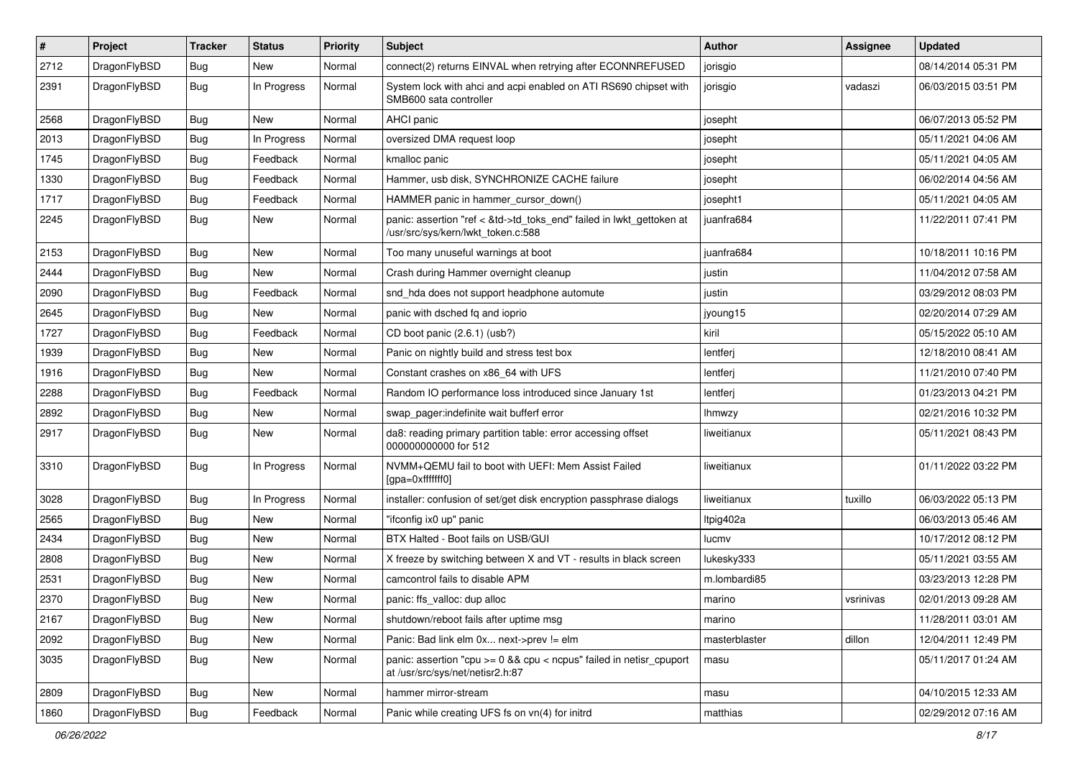| $\pmb{\#}$ | Project      | <b>Tracker</b> | <b>Status</b> | <b>Priority</b> | Subject                                                                                                    | <b>Author</b> | Assignee  | <b>Updated</b>      |
|------------|--------------|----------------|---------------|-----------------|------------------------------------------------------------------------------------------------------------|---------------|-----------|---------------------|
| 2712       | DragonFlyBSD | Bug            | New           | Normal          | connect(2) returns EINVAL when retrying after ECONNREFUSED                                                 | jorisgio      |           | 08/14/2014 05:31 PM |
| 2391       | DragonFlyBSD | Bug            | In Progress   | Normal          | System lock with ahci and acpi enabled on ATI RS690 chipset with<br>SMB600 sata controller                 | jorisgio      | vadaszi   | 06/03/2015 03:51 PM |
| 2568       | DragonFlyBSD | Bug            | New           | Normal          | AHCI panic                                                                                                 | josepht       |           | 06/07/2013 05:52 PM |
| 2013       | DragonFlyBSD | Bug            | In Progress   | Normal          | oversized DMA request loop                                                                                 | josepht       |           | 05/11/2021 04:06 AM |
| 1745       | DragonFlyBSD | Bug            | Feedback      | Normal          | kmalloc panic                                                                                              | josepht       |           | 05/11/2021 04:05 AM |
| 1330       | DragonFlyBSD | Bug            | Feedback      | Normal          | Hammer, usb disk, SYNCHRONIZE CACHE failure                                                                | josepht       |           | 06/02/2014 04:56 AM |
| 1717       | DragonFlyBSD | Bug            | Feedback      | Normal          | HAMMER panic in hammer cursor down()                                                                       | josepht1      |           | 05/11/2021 04:05 AM |
| 2245       | DragonFlyBSD | Bug            | New           | Normal          | panic: assertion "ref < &td->td_toks_end" failed in lwkt_gettoken at<br>/usr/src/sys/kern/lwkt_token.c:588 | juanfra684    |           | 11/22/2011 07:41 PM |
| 2153       | DragonFlyBSD | <b>Bug</b>     | <b>New</b>    | Normal          | Too many unuseful warnings at boot                                                                         | juanfra684    |           | 10/18/2011 10:16 PM |
| 2444       | DragonFlyBSD | Bug            | <b>New</b>    | Normal          | Crash during Hammer overnight cleanup                                                                      | justin        |           | 11/04/2012 07:58 AM |
| 2090       | DragonFlyBSD | Bug            | Feedback      | Normal          | snd_hda does not support headphone automute                                                                | justin        |           | 03/29/2012 08:03 PM |
| 2645       | DragonFlyBSD | Bug            | New           | Normal          | panic with dsched fq and ioprio                                                                            | jyoung15      |           | 02/20/2014 07:29 AM |
| 1727       | DragonFlyBSD | Bug            | Feedback      | Normal          | CD boot panic (2.6.1) (usb?)                                                                               | kiril         |           | 05/15/2022 05:10 AM |
| 1939       | DragonFlyBSD | Bug            | New           | Normal          | Panic on nightly build and stress test box                                                                 | lentferj      |           | 12/18/2010 08:41 AM |
| 1916       | DragonFlyBSD | Bug            | New           | Normal          | Constant crashes on x86 64 with UFS                                                                        | lentferj      |           | 11/21/2010 07:40 PM |
| 2288       | DragonFlyBSD | Bug            | Feedback      | Normal          | Random IO performance loss introduced since January 1st                                                    | lentferj      |           | 01/23/2013 04:21 PM |
| 2892       | DragonFlyBSD | Bug            | New           | Normal          | swap_pager:indefinite wait bufferf error                                                                   | <b>Ihmwzy</b> |           | 02/21/2016 10:32 PM |
| 2917       | DragonFlyBSD | Bug            | <b>New</b>    | Normal          | da8: reading primary partition table: error accessing offset<br>000000000000 for 512                       | liweitianux   |           | 05/11/2021 08:43 PM |
| 3310       | DragonFlyBSD | Bug            | In Progress   | Normal          | NVMM+QEMU fail to boot with UEFI: Mem Assist Failed<br>[gpa=0xfffffff0]                                    | liweitianux   |           | 01/11/2022 03:22 PM |
| 3028       | DragonFlyBSD | Bug            | In Progress   | Normal          | installer: confusion of set/get disk encryption passphrase dialogs                                         | liweitianux   | tuxillo   | 06/03/2022 05:13 PM |
| 2565       | DragonFlyBSD | Bug            | <b>New</b>    | Normal          | "ifconfig ix0 up" panic                                                                                    | Itpig402a     |           | 06/03/2013 05:46 AM |
| 2434       | DragonFlyBSD | Bug            | <b>New</b>    | Normal          | BTX Halted - Boot fails on USB/GUI                                                                         | lucmv         |           | 10/17/2012 08:12 PM |
| 2808       | DragonFlyBSD | Bug            | New           | Normal          | X freeze by switching between X and VT - results in black screen                                           | lukesky333    |           | 05/11/2021 03:55 AM |
| 2531       | DragonFlyBSD | Bug            | <b>New</b>    | Normal          | camcontrol fails to disable APM                                                                            | m.lombardi85  |           | 03/23/2013 12:28 PM |
| 2370       | DragonFlyBSD | <b>Bug</b>     | New           | Normal          | panic: ffs_valloc: dup alloc                                                                               | marino        | vsrinivas | 02/01/2013 09:28 AM |
| 2167       | DragonFlyBSD | <b>Bug</b>     | New           | Normal          | shutdown/reboot fails after uptime msg                                                                     | marino        |           | 11/28/2011 03:01 AM |
| 2092       | DragonFlyBSD | <b>Bug</b>     | New           | Normal          | Panic: Bad link elm 0x next->prev != elm                                                                   | masterblaster | dillon    | 12/04/2011 12:49 PM |
| 3035       | DragonFlyBSD | <b>Bug</b>     | New           | Normal          | panic: assertion "cpu >= 0 && cpu < ncpus" failed in netisr_cpuport<br>at /usr/src/sys/net/netisr2.h:87    | masu          |           | 05/11/2017 01:24 AM |
| 2809       | DragonFlyBSD | <b>Bug</b>     | New           | Normal          | hammer mirror-stream                                                                                       | masu          |           | 04/10/2015 12:33 AM |
| 1860       | DragonFlyBSD | Bug            | Feedback      | Normal          | Panic while creating UFS fs on vn(4) for initrd                                                            | matthias      |           | 02/29/2012 07:16 AM |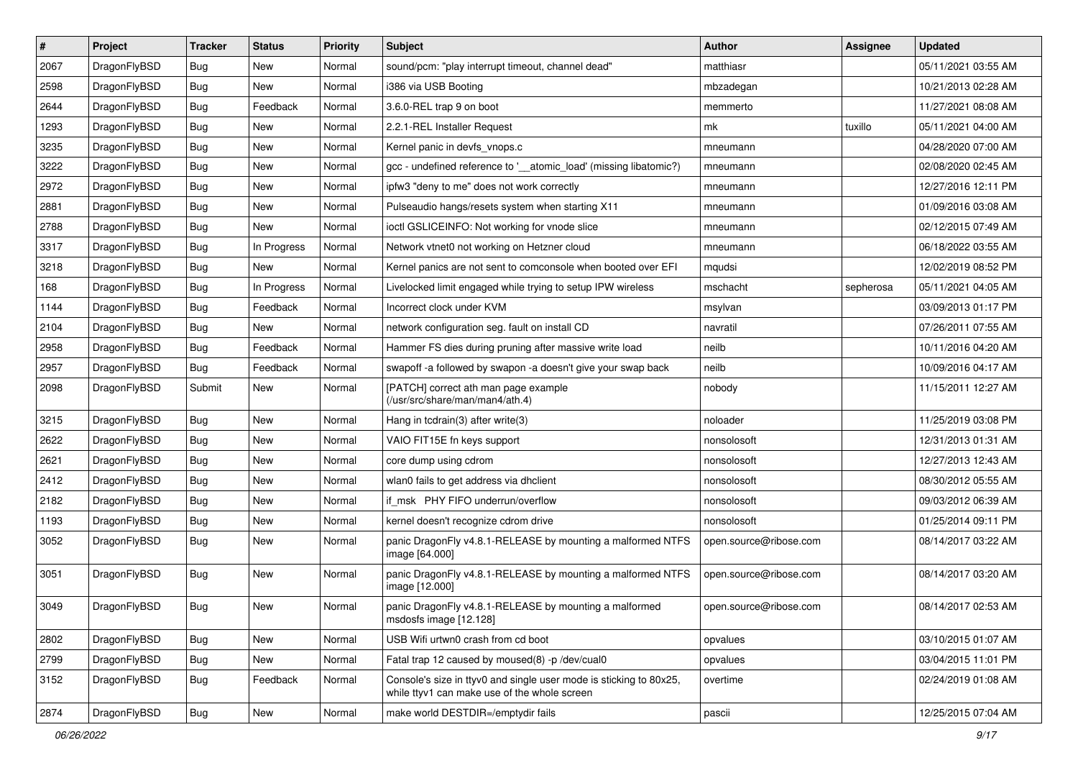| $\vert$ # | Project      | <b>Tracker</b> | <b>Status</b> | <b>Priority</b> | <b>Subject</b>                                                                                                     | <b>Author</b>          | <b>Assignee</b> | <b>Updated</b>      |
|-----------|--------------|----------------|---------------|-----------------|--------------------------------------------------------------------------------------------------------------------|------------------------|-----------------|---------------------|
| 2067      | DragonFlyBSD | Bug            | New           | Normal          | sound/pcm: "play interrupt timeout, channel dead"                                                                  | matthiasr              |                 | 05/11/2021 03:55 AM |
| 2598      | DragonFlyBSD | Bug            | <b>New</b>    | Normal          | i386 via USB Booting                                                                                               | mbzadegan              |                 | 10/21/2013 02:28 AM |
| 2644      | DragonFlyBSD | <b>Bug</b>     | Feedback      | Normal          | 3.6.0-REL trap 9 on boot                                                                                           | memmerto               |                 | 11/27/2021 08:08 AM |
| 1293      | DragonFlyBSD | <b>Bug</b>     | New           | Normal          | 2.2.1-REL Installer Request                                                                                        | mk                     | tuxillo         | 05/11/2021 04:00 AM |
| 3235      | DragonFlyBSD | Bug            | <b>New</b>    | Normal          | Kernel panic in devfs vnops.c                                                                                      | mneumann               |                 | 04/28/2020 07:00 AM |
| 3222      | DragonFlyBSD | <b>Bug</b>     | New           | Normal          | gcc - undefined reference to '_atomic_load' (missing libatomic?)                                                   | mneumann               |                 | 02/08/2020 02:45 AM |
| 2972      | DragonFlyBSD | <b>Bug</b>     | New           | Normal          | ipfw3 "deny to me" does not work correctly                                                                         | mneumann               |                 | 12/27/2016 12:11 PM |
| 2881      | DragonFlyBSD | <b>Bug</b>     | New           | Normal          | Pulseaudio hangs/resets system when starting X11                                                                   | mneumann               |                 | 01/09/2016 03:08 AM |
| 2788      | DragonFlyBSD | <b>Bug</b>     | New           | Normal          | ioctl GSLICEINFO: Not working for vnode slice                                                                      | mneumann               |                 | 02/12/2015 07:49 AM |
| 3317      | DragonFlyBSD | Bug            | In Progress   | Normal          | Network vtnet0 not working on Hetzner cloud                                                                        | mneumann               |                 | 06/18/2022 03:55 AM |
| 3218      | DragonFlyBSD | <b>Bug</b>     | New           | Normal          | Kernel panics are not sent to comconsole when booted over EFI                                                      | mqudsi                 |                 | 12/02/2019 08:52 PM |
| 168       | DragonFlyBSD | <b>Bug</b>     | In Progress   | Normal          | Livelocked limit engaged while trying to setup IPW wireless                                                        | mschacht               | sepherosa       | 05/11/2021 04:05 AM |
| 1144      | DragonFlyBSD | <b>Bug</b>     | Feedback      | Normal          | Incorrect clock under KVM                                                                                          | msylvan                |                 | 03/09/2013 01:17 PM |
| 2104      | DragonFlyBSD | <b>Bug</b>     | New           | Normal          | network configuration seg. fault on install CD                                                                     | navratil               |                 | 07/26/2011 07:55 AM |
| 2958      | DragonFlyBSD | Bug            | Feedback      | Normal          | Hammer FS dies during pruning after massive write load                                                             | neilb                  |                 | 10/11/2016 04:20 AM |
| 2957      | DragonFlyBSD | <b>Bug</b>     | Feedback      | Normal          | swapoff -a followed by swapon -a doesn't give your swap back                                                       | neilb                  |                 | 10/09/2016 04:17 AM |
| 2098      | DragonFlyBSD | Submit         | New           | Normal          | [PATCH] correct ath man page example<br>(/usr/src/share/man/man4/ath.4)                                            | nobody                 |                 | 11/15/2011 12:27 AM |
| 3215      | DragonFlyBSD | Bug            | New           | Normal          | Hang in todrain(3) after write(3)                                                                                  | noloader               |                 | 11/25/2019 03:08 PM |
| 2622      | DragonFlyBSD | <b>Bug</b>     | New           | Normal          | VAIO FIT15E fn keys support                                                                                        | nonsolosoft            |                 | 12/31/2013 01:31 AM |
| 2621      | DragonFlyBSD | <b>Bug</b>     | New           | Normal          | core dump using cdrom                                                                                              | nonsolosoft            |                 | 12/27/2013 12:43 AM |
| 2412      | DragonFlyBSD | <b>Bug</b>     | <b>New</b>    | Normal          | wlan0 fails to get address via dhclient                                                                            | nonsolosoft            |                 | 08/30/2012 05:55 AM |
| 2182      | DragonFlyBSD | Bug            | New           | Normal          | if_msk PHY FIFO underrun/overflow                                                                                  | nonsolosoft            |                 | 09/03/2012 06:39 AM |
| 1193      | DragonFlyBSD | <b>Bug</b>     | New           | Normal          | kernel doesn't recognize cdrom drive                                                                               | nonsolosoft            |                 | 01/25/2014 09:11 PM |
| 3052      | DragonFlyBSD | <b>Bug</b>     | New           | Normal          | panic DragonFly v4.8.1-RELEASE by mounting a malformed NTFS<br>image [64.000]                                      | open.source@ribose.com |                 | 08/14/2017 03:22 AM |
| 3051      | DragonFlyBSD | Bug            | New           | Normal          | panic DragonFly v4.8.1-RELEASE by mounting a malformed NTFS<br>image [12.000]                                      | open.source@ribose.com |                 | 08/14/2017 03:20 AM |
| 3049      | DragonFlyBSD | Bug            | New           | Normal          | panic DragonFly v4.8.1-RELEASE by mounting a malformed<br>msdosfs image [12.128]                                   | open.source@ribose.com |                 | 08/14/2017 02:53 AM |
| 2802      | DragonFlyBSD | <b>Bug</b>     | <b>New</b>    | Normal          | USB Wifi urtwn0 crash from cd boot                                                                                 | opvalues               |                 | 03/10/2015 01:07 AM |
| 2799      | DragonFlyBSD | <b>Bug</b>     | New           | Normal          | Fatal trap 12 caused by moused(8) -p /dev/cual0                                                                    | opvalues               |                 | 03/04/2015 11:01 PM |
| 3152      | DragonFlyBSD | <b>Bug</b>     | Feedback      | Normal          | Console's size in ttyv0 and single user mode is sticking to 80x25,<br>while ttyv1 can make use of the whole screen | overtime               |                 | 02/24/2019 01:08 AM |
| 2874      | DragonFlyBSD | Bug            | New           | Normal          | make world DESTDIR=/emptydir fails                                                                                 | pascii                 |                 | 12/25/2015 07:04 AM |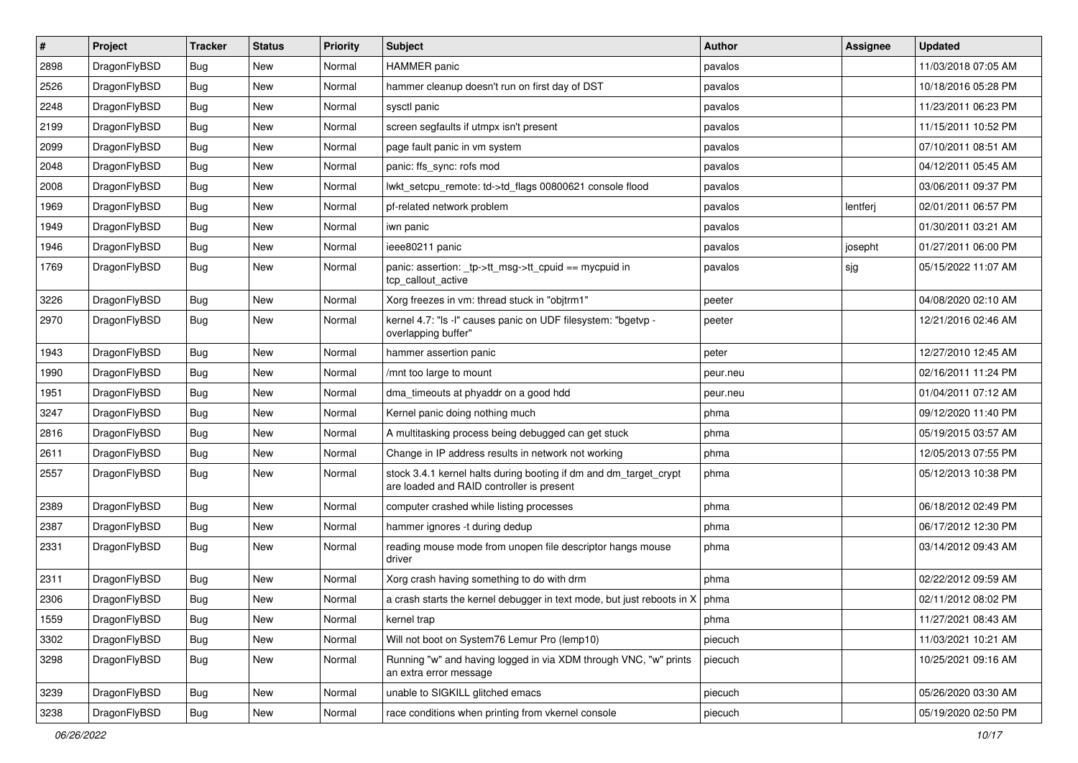| $\sharp$ | Project      | <b>Tracker</b> | <b>Status</b> | <b>Priority</b> | <b>Subject</b>                                                                                                 | <b>Author</b> | Assignee | <b>Updated</b>      |
|----------|--------------|----------------|---------------|-----------------|----------------------------------------------------------------------------------------------------------------|---------------|----------|---------------------|
| 2898     | DragonFlyBSD | <b>Bug</b>     | New           | Normal          | <b>HAMMER</b> panic                                                                                            | pavalos       |          | 11/03/2018 07:05 AM |
| 2526     | DragonFlyBSD | Bug            | New           | Normal          | hammer cleanup doesn't run on first day of DST                                                                 | pavalos       |          | 10/18/2016 05:28 PM |
| 2248     | DragonFlyBSD | <b>Bug</b>     | New           | Normal          | sysctl panic                                                                                                   | pavalos       |          | 11/23/2011 06:23 PM |
| 2199     | DragonFlyBSD | <b>Bug</b>     | New           | Normal          | screen segfaults if utmpx isn't present                                                                        | pavalos       |          | 11/15/2011 10:52 PM |
| 2099     | DragonFlyBSD | Bug            | <b>New</b>    | Normal          | page fault panic in vm system                                                                                  | pavalos       |          | 07/10/2011 08:51 AM |
| 2048     | DragonFlyBSD | Bug            | <b>New</b>    | Normal          | panic: ffs sync: rofs mod                                                                                      | pavalos       |          | 04/12/2011 05:45 AM |
| 2008     | DragonFlyBSD | Bug            | New           | Normal          | lwkt_setcpu_remote: td->td_flags 00800621 console flood                                                        | pavalos       |          | 03/06/2011 09:37 PM |
| 1969     | DragonFlyBSD | <b>Bug</b>     | <b>New</b>    | Normal          | pf-related network problem                                                                                     | pavalos       | lentferj | 02/01/2011 06:57 PM |
| 1949     | DragonFlyBSD | <b>Bug</b>     | New           | Normal          | iwn panic                                                                                                      | pavalos       |          | 01/30/2011 03:21 AM |
| 1946     | DragonFlyBSD | Bug            | <b>New</b>    | Normal          | ieee80211 panic                                                                                                | pavalos       | josepht  | 01/27/2011 06:00 PM |
| 1769     | DragonFlyBSD | <b>Bug</b>     | New           | Normal          | panic: assertion: _tp->tt_msg->tt_cpuid == mycpuid in<br>tcp_callout_active                                    | pavalos       | sjg      | 05/15/2022 11:07 AM |
| 3226     | DragonFlyBSD | Bug            | <b>New</b>    | Normal          | Xorg freezes in vm: thread stuck in "objtrm1"                                                                  | peeter        |          | 04/08/2020 02:10 AM |
| 2970     | DragonFlyBSD | <b>Bug</b>     | <b>New</b>    | Normal          | kernel 4.7: "Is -I" causes panic on UDF filesystem: "bgetvp -<br>overlapping buffer"                           | peeter        |          | 12/21/2016 02:46 AM |
| 1943     | DragonFlyBSD | Bug            | <b>New</b>    | Normal          | hammer assertion panic                                                                                         | peter         |          | 12/27/2010 12:45 AM |
| 1990     | DragonFlyBSD | <b>Bug</b>     | New           | Normal          | /mnt too large to mount                                                                                        | peur.neu      |          | 02/16/2011 11:24 PM |
| 1951     | DragonFlyBSD | Bug            | <b>New</b>    | Normal          | dma timeouts at phyaddr on a good hdd                                                                          | peur.neu      |          | 01/04/2011 07:12 AM |
| 3247     | DragonFlyBSD | <b>Bug</b>     | New           | Normal          | Kernel panic doing nothing much                                                                                | phma          |          | 09/12/2020 11:40 PM |
| 2816     | DragonFlyBSD | <b>Bug</b>     | New           | Normal          | A multitasking process being debugged can get stuck                                                            | phma          |          | 05/19/2015 03:57 AM |
| 2611     | DragonFlyBSD | <b>Bug</b>     | New           | Normal          | Change in IP address results in network not working                                                            | phma          |          | 12/05/2013 07:55 PM |
| 2557     | DragonFlyBSD | <b>Bug</b>     | New           | Normal          | stock 3.4.1 kernel halts during booting if dm and dm_target_crypt<br>are loaded and RAID controller is present | phma          |          | 05/12/2013 10:38 PM |
| 2389     | DragonFlyBSD | Bug            | <b>New</b>    | Normal          | computer crashed while listing processes                                                                       | phma          |          | 06/18/2012 02:49 PM |
| 2387     | DragonFlyBSD | <b>Bug</b>     | New           | Normal          | hammer ignores -t during dedup                                                                                 | phma          |          | 06/17/2012 12:30 PM |
| 2331     | DragonFlyBSD | Bug            | New           | Normal          | reading mouse mode from unopen file descriptor hangs mouse<br>driver                                           | phma          |          | 03/14/2012 09:43 AM |
| 2311     | DragonFlyBSD | Bug            | New           | Normal          | Xorg crash having something to do with drm                                                                     | phma          |          | 02/22/2012 09:59 AM |
| 2306     | DragonFlyBSD | Bug            | New           | Normal          | a crash starts the kernel debugger in text mode, but just reboots in $X \mid p h$ phma                         |               |          | 02/11/2012 08:02 PM |
| 1559     | DragonFlyBSD | <b>Bug</b>     | New           | Normal          | kernel trap                                                                                                    | phma          |          | 11/27/2021 08:43 AM |
| 3302     | DragonFlyBSD | <b>Bug</b>     | <b>New</b>    | Normal          | Will not boot on System76 Lemur Pro (lemp10)                                                                   | piecuch       |          | 11/03/2021 10:21 AM |
| 3298     | DragonFlyBSD | <b>Bug</b>     | <b>New</b>    | Normal          | Running "w" and having logged in via XDM through VNC, "w" prints<br>an extra error message                     | piecuch       |          | 10/25/2021 09:16 AM |
| 3239     | DragonFlyBSD | Bug            | <b>New</b>    | Normal          | unable to SIGKILL glitched emacs                                                                               | piecuch       |          | 05/26/2020 03:30 AM |
| 3238     | DragonFlyBSD | Bug            | New           | Normal          | race conditions when printing from vkernel console                                                             | piecuch       |          | 05/19/2020 02:50 PM |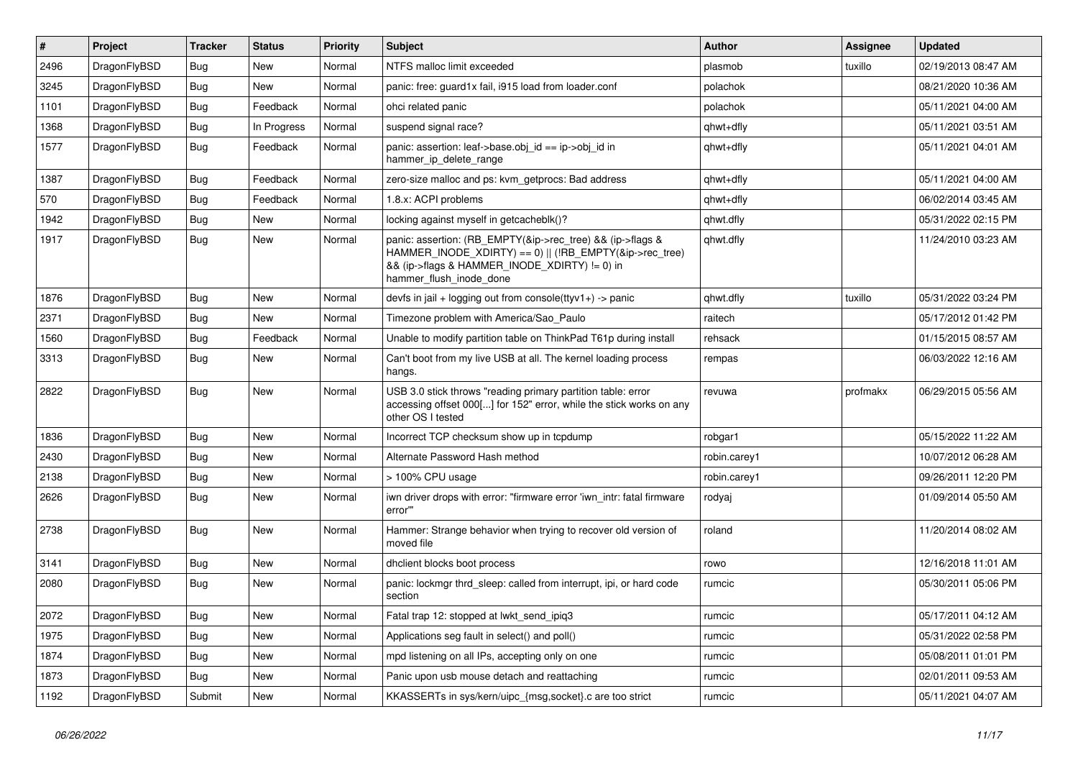| $\vert$ # | Project      | <b>Tracker</b> | <b>Status</b> | <b>Priority</b> | <b>Subject</b>                                                                                                                                                                                    | Author       | Assignee | <b>Updated</b>      |
|-----------|--------------|----------------|---------------|-----------------|---------------------------------------------------------------------------------------------------------------------------------------------------------------------------------------------------|--------------|----------|---------------------|
| 2496      | DragonFlyBSD | Bug            | <b>New</b>    | Normal          | NTFS malloc limit exceeded                                                                                                                                                                        | plasmob      | tuxillo  | 02/19/2013 08:47 AM |
| 3245      | DragonFlyBSD | <b>Bug</b>     | <b>New</b>    | Normal          | panic: free: guard1x fail, i915 load from loader.conf                                                                                                                                             | polachok     |          | 08/21/2020 10:36 AM |
| 1101      | DragonFlyBSD | <b>Bug</b>     | Feedback      | Normal          | ohci related panic                                                                                                                                                                                | polachok     |          | 05/11/2021 04:00 AM |
| 1368      | DragonFlyBSD | Bug            | In Progress   | Normal          | suspend signal race?                                                                                                                                                                              | qhwt+dfly    |          | 05/11/2021 03:51 AM |
| 1577      | DragonFlyBSD | Bug            | Feedback      | Normal          | panic: assertion: leaf->base.obj_id == ip->obj_id in<br>hammer_ip_delete_range                                                                                                                    | qhwt+dfly    |          | 05/11/2021 04:01 AM |
| 1387      | DragonFlyBSD | Bug            | Feedback      | Normal          | zero-size malloc and ps: kvm_getprocs: Bad address                                                                                                                                                | qhwt+dfly    |          | 05/11/2021 04:00 AM |
| 570       | DragonFlyBSD | <b>Bug</b>     | Feedback      | Normal          | 1.8.x: ACPI problems                                                                                                                                                                              | qhwt+dfly    |          | 06/02/2014 03:45 AM |
| 1942      | DragonFlyBSD | Bug            | <b>New</b>    | Normal          | locking against myself in getcacheblk()?                                                                                                                                                          | qhwt.dfly    |          | 05/31/2022 02:15 PM |
| 1917      | DragonFlyBSD | Bug            | New           | Normal          | panic: assertion: (RB_EMPTY(&ip->rec_tree) && (ip->flags &<br>HAMMER_INODE_XDIRTY) == 0)    (!RB_EMPTY(&ip->rec_tree)<br>&& (ip->flags & HAMMER_INODE_XDIRTY) != 0) in<br>hammer_flush_inode_done | qhwt.dfly    |          | 11/24/2010 03:23 AM |
| 1876      | DragonFlyBSD | Bug            | <b>New</b>    | Normal          | devfs in jail + logging out from console( $t$ tyv1+) -> panic                                                                                                                                     | qhwt.dfly    | tuxillo  | 05/31/2022 03:24 PM |
| 2371      | DragonFlyBSD | Bug            | <b>New</b>    | Normal          | Timezone problem with America/Sao Paulo                                                                                                                                                           | raitech      |          | 05/17/2012 01:42 PM |
| 1560      | DragonFlyBSD | <b>Bug</b>     | Feedback      | Normal          | Unable to modify partition table on ThinkPad T61p during install                                                                                                                                  | rehsack      |          | 01/15/2015 08:57 AM |
| 3313      | DragonFlyBSD | Bug            | New           | Normal          | Can't boot from my live USB at all. The kernel loading process<br>hangs.                                                                                                                          | rempas       |          | 06/03/2022 12:16 AM |
| 2822      | DragonFlyBSD | <b>Bug</b>     | <b>New</b>    | Normal          | USB 3.0 stick throws "reading primary partition table: error<br>accessing offset 000[] for 152" error, while the stick works on any<br>other OS I tested                                          | revuwa       | profmakx | 06/29/2015 05:56 AM |
| 1836      | DragonFlyBSD | <b>Bug</b>     | <b>New</b>    | Normal          | Incorrect TCP checksum show up in tcpdump                                                                                                                                                         | robgar1      |          | 05/15/2022 11:22 AM |
| 2430      | DragonFlyBSD | Bug            | New           | Normal          | Alternate Password Hash method                                                                                                                                                                    | robin.carey1 |          | 10/07/2012 06:28 AM |
| 2138      | DragonFlyBSD | Bug            | <b>New</b>    | Normal          | > 100% CPU usage                                                                                                                                                                                  | robin.carey1 |          | 09/26/2011 12:20 PM |
| 2626      | DragonFlyBSD | Bug            | New           | Normal          | iwn driver drops with error: "firmware error 'iwn intr: fatal firmware<br>error""                                                                                                                 | rodyaj       |          | 01/09/2014 05:50 AM |
| 2738      | DragonFlyBSD | <b>Bug</b>     | New           | Normal          | Hammer: Strange behavior when trying to recover old version of<br>moved file                                                                                                                      | roland       |          | 11/20/2014 08:02 AM |
| 3141      | DragonFlyBSD | Bug            | <b>New</b>    | Normal          | dhclient blocks boot process                                                                                                                                                                      | rowo         |          | 12/16/2018 11:01 AM |
| 2080      | DragonFlyBSD | <b>Bug</b>     | <b>New</b>    | Normal          | panic: lockmgr thrd sleep: called from interrupt, ipi, or hard code<br>section                                                                                                                    | rumcic       |          | 05/30/2011 05:06 PM |
| 2072      | DragonFlyBSD | Bug            | New           | Normal          | Fatal trap 12: stopped at lwkt_send_ipiq3                                                                                                                                                         | rumcic       |          | 05/17/2011 04:12 AM |
| 1975      | DragonFlyBSD | <b>Bug</b>     | New           | Normal          | Applications seg fault in select() and poll()                                                                                                                                                     | rumcic       |          | 05/31/2022 02:58 PM |
| 1874      | DragonFlyBSD | Bug            | New           | Normal          | mpd listening on all IPs, accepting only on one                                                                                                                                                   | rumcic       |          | 05/08/2011 01:01 PM |
| 1873      | DragonFlyBSD | <b>Bug</b>     | New           | Normal          | Panic upon usb mouse detach and reattaching                                                                                                                                                       | rumcic       |          | 02/01/2011 09:53 AM |
| 1192      | DragonFlyBSD | Submit         | New           | Normal          | KKASSERTs in sys/kern/uipc_{msg,socket}.c are too strict                                                                                                                                          | rumcic       |          | 05/11/2021 04:07 AM |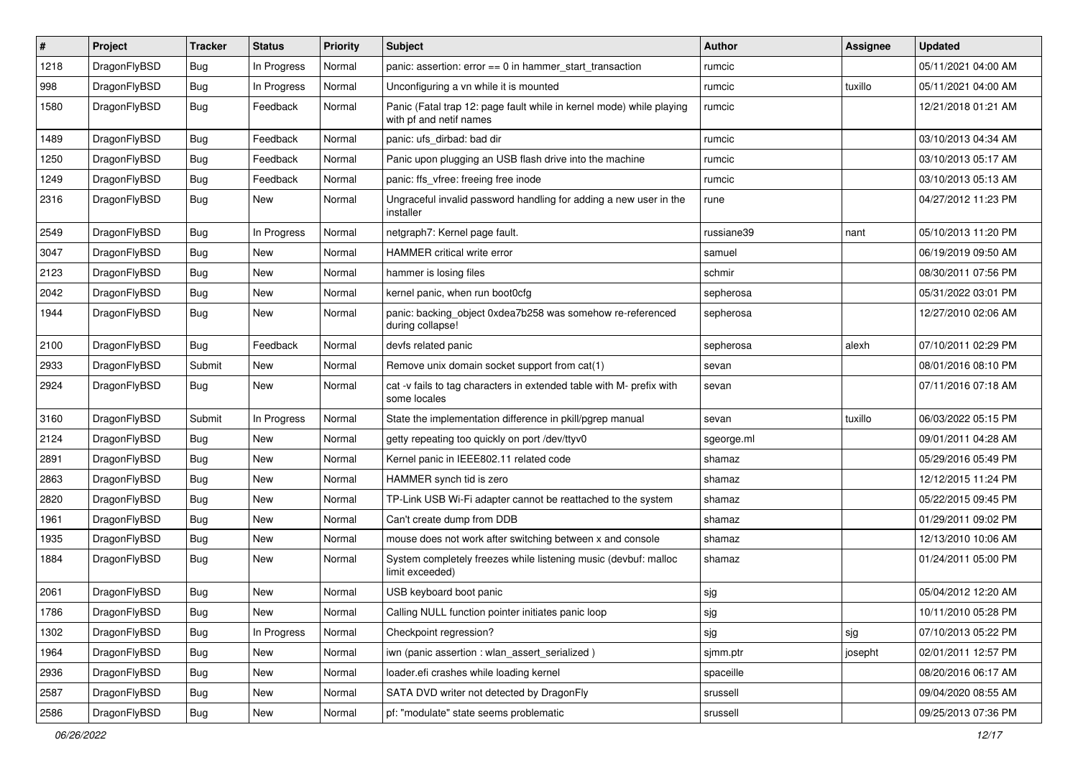| $\sharp$ | Project      | <b>Tracker</b> | <b>Status</b> | <b>Priority</b> | Subject                                                                                         | <b>Author</b> | Assignee | <b>Updated</b>      |
|----------|--------------|----------------|---------------|-----------------|-------------------------------------------------------------------------------------------------|---------------|----------|---------------------|
| 1218     | DragonFlyBSD | <b>Bug</b>     | In Progress   | Normal          | panic: assertion: $error == 0$ in hammer start transaction                                      | rumcic        |          | 05/11/2021 04:00 AM |
| 998      | DragonFlyBSD | <b>Bug</b>     | In Progress   | Normal          | Unconfiguring a vn while it is mounted                                                          | rumcic        | tuxillo  | 05/11/2021 04:00 AM |
| 1580     | DragonFlyBSD | <b>Bug</b>     | Feedback      | Normal          | Panic (Fatal trap 12: page fault while in kernel mode) while playing<br>with pf and netif names | rumcic        |          | 12/21/2018 01:21 AM |
| 1489     | DragonFlyBSD | <b>Bug</b>     | Feedback      | Normal          | panic: ufs_dirbad: bad dir                                                                      | rumcic        |          | 03/10/2013 04:34 AM |
| 1250     | DragonFlyBSD | <b>Bug</b>     | Feedback      | Normal          | Panic upon plugging an USB flash drive into the machine                                         | rumcic        |          | 03/10/2013 05:17 AM |
| 1249     | DragonFlyBSD | <b>Bug</b>     | Feedback      | Normal          | panic: ffs_vfree: freeing free inode                                                            | rumcic        |          | 03/10/2013 05:13 AM |
| 2316     | DragonFlyBSD | Bug            | New           | Normal          | Ungraceful invalid password handling for adding a new user in the<br>installer                  | rune          |          | 04/27/2012 11:23 PM |
| 2549     | DragonFlyBSD | <b>Bug</b>     | In Progress   | Normal          | netgraph7: Kernel page fault.                                                                   | russiane39    | nant     | 05/10/2013 11:20 PM |
| 3047     | DragonFlyBSD | Bug            | <b>New</b>    | Normal          | <b>HAMMER critical write error</b>                                                              | samuel        |          | 06/19/2019 09:50 AM |
| 2123     | DragonFlyBSD | <b>Bug</b>     | New           | Normal          | hammer is losing files                                                                          | schmir        |          | 08/30/2011 07:56 PM |
| 2042     | DragonFlyBSD | <b>Bug</b>     | <b>New</b>    | Normal          | kernel panic, when run boot0cfg                                                                 | sepherosa     |          | 05/31/2022 03:01 PM |
| 1944     | DragonFlyBSD | <b>Bug</b>     | New           | Normal          | panic: backing_object 0xdea7b258 was somehow re-referenced<br>during collapse!                  | sepherosa     |          | 12/27/2010 02:06 AM |
| 2100     | DragonFlyBSD | Bug            | Feedback      | Normal          | devfs related panic                                                                             | sepherosa     | alexh    | 07/10/2011 02:29 PM |
| 2933     | DragonFlyBSD | Submit         | New           | Normal          | Remove unix domain socket support from cat(1)                                                   | sevan         |          | 08/01/2016 08:10 PM |
| 2924     | DragonFlyBSD | Bug            | New           | Normal          | cat -v fails to tag characters in extended table with M- prefix with<br>some locales            | sevan         |          | 07/11/2016 07:18 AM |
| 3160     | DragonFlyBSD | Submit         | In Progress   | Normal          | State the implementation difference in pkill/pgrep manual                                       | sevan         | tuxillo  | 06/03/2022 05:15 PM |
| 2124     | DragonFlyBSD | Bug            | <b>New</b>    | Normal          | getty repeating too quickly on port /dev/ttyv0                                                  | sgeorge.ml    |          | 09/01/2011 04:28 AM |
| 2891     | DragonFlyBSD | <b>Bug</b>     | New           | Normal          | Kernel panic in IEEE802.11 related code                                                         | shamaz        |          | 05/29/2016 05:49 PM |
| 2863     | DragonFlyBSD | <b>Bug</b>     | <b>New</b>    | Normal          | HAMMER synch tid is zero                                                                        | shamaz        |          | 12/12/2015 11:24 PM |
| 2820     | DragonFlyBSD | <b>Bug</b>     | New           | Normal          | TP-Link USB Wi-Fi adapter cannot be reattached to the system                                    | shamaz        |          | 05/22/2015 09:45 PM |
| 1961     | DragonFlyBSD | <b>Bug</b>     | New           | Normal          | Can't create dump from DDB                                                                      | shamaz        |          | 01/29/2011 09:02 PM |
| 1935     | DragonFlyBSD | <b>Bug</b>     | <b>New</b>    | Normal          | mouse does not work after switching between x and console                                       | shamaz        |          | 12/13/2010 10:06 AM |
| 1884     | DragonFlyBSD | <b>Bug</b>     | <b>New</b>    | Normal          | System completely freezes while listening music (devbuf: malloc<br>limit exceeded)              | shamaz        |          | 01/24/2011 05:00 PM |
| 2061     | DragonFlyBSD | <b>Bug</b>     | <b>New</b>    | Normal          | USB keyboard boot panic                                                                         | sjg           |          | 05/04/2012 12:20 AM |
| 1786     | DragonFlyBSD | <b>Bug</b>     | I New         | Normal          | Calling NULL function pointer initiates panic loop                                              | sjg           |          | 10/11/2010 05:28 PM |
| 1302     | DragonFlyBSD | Bug            | In Progress   | Normal          | Checkpoint regression?                                                                          | sjg           | sjg      | 07/10/2013 05:22 PM |
| 1964     | DragonFlyBSD | <b>Bug</b>     | New           | Normal          | iwn (panic assertion : wlan_assert_serialized)                                                  | sjmm.ptr      | josepht  | 02/01/2011 12:57 PM |
| 2936     | DragonFlyBSD | <b>Bug</b>     | New           | Normal          | loader.efi crashes while loading kernel                                                         | spaceille     |          | 08/20/2016 06:17 AM |
| 2587     | DragonFlyBSD | <b>Bug</b>     | New           | Normal          | SATA DVD writer not detected by DragonFly                                                       | srussell      |          | 09/04/2020 08:55 AM |
| 2586     | DragonFlyBSD | <b>Bug</b>     | New           | Normal          | pf: "modulate" state seems problematic                                                          | srussell      |          | 09/25/2013 07:36 PM |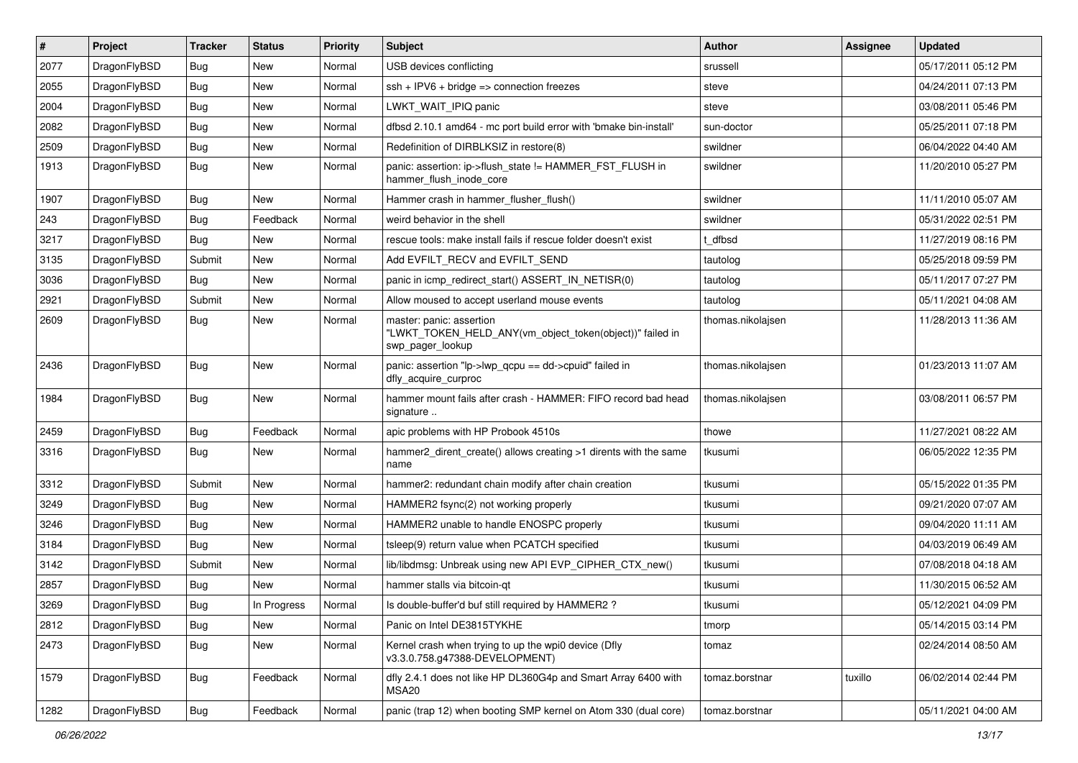| $\sharp$ | Project      | <b>Tracker</b> | <b>Status</b> | <b>Priority</b> | <b>Subject</b>                                                                                           | <b>Author</b>     | Assignee | <b>Updated</b>      |
|----------|--------------|----------------|---------------|-----------------|----------------------------------------------------------------------------------------------------------|-------------------|----------|---------------------|
| 2077     | DragonFlyBSD | <b>Bug</b>     | New           | Normal          | USB devices conflicting                                                                                  | srussell          |          | 05/17/2011 05:12 PM |
| 2055     | DragonFlyBSD | <b>Bug</b>     | <b>New</b>    | Normal          | $ssh + IPV6 + bridge \Rightarrow connection freezes$                                                     | steve             |          | 04/24/2011 07:13 PM |
| 2004     | DragonFlyBSD | <b>Bug</b>     | <b>New</b>    | Normal          | LWKT WAIT IPIQ panic                                                                                     | steve             |          | 03/08/2011 05:46 PM |
| 2082     | DragonFlyBSD | <b>Bug</b>     | New           | Normal          | dfbsd 2.10.1 amd64 - mc port build error with 'bmake bin-install'                                        | sun-doctor        |          | 05/25/2011 07:18 PM |
| 2509     | DragonFlyBSD | <b>Bug</b>     | <b>New</b>    | Normal          | Redefinition of DIRBLKSIZ in restore(8)                                                                  | swildner          |          | 06/04/2022 04:40 AM |
| 1913     | DragonFlyBSD | <b>Bug</b>     | <b>New</b>    | Normal          | panic: assertion: ip->flush state != HAMMER FST FLUSH in<br>hammer_flush_inode_core                      | swildner          |          | 11/20/2010 05:27 PM |
| 1907     | DragonFlyBSD | <b>Bug</b>     | <b>New</b>    | Normal          | Hammer crash in hammer flusher flush()                                                                   | swildner          |          | 11/11/2010 05:07 AM |
| 243      | DragonFlyBSD | <b>Bug</b>     | Feedback      | Normal          | weird behavior in the shell                                                                              | swildner          |          | 05/31/2022 02:51 PM |
| 3217     | DragonFlyBSD | <b>Bug</b>     | <b>New</b>    | Normal          | rescue tools: make install fails if rescue folder doesn't exist                                          | t_dfbsd           |          | 11/27/2019 08:16 PM |
| 3135     | DragonFlyBSD | Submit         | New           | Normal          | Add EVFILT RECV and EVFILT SEND                                                                          | tautolog          |          | 05/25/2018 09:59 PM |
| 3036     | DragonFlyBSD | Bug            | New           | Normal          | panic in icmp redirect start() ASSERT IN NETISR(0)                                                       | tautolog          |          | 05/11/2017 07:27 PM |
| 2921     | DragonFlyBSD | Submit         | <b>New</b>    | Normal          | Allow moused to accept userland mouse events                                                             | tautolog          |          | 05/11/2021 04:08 AM |
| 2609     | DragonFlyBSD | <b>Bug</b>     | <b>New</b>    | Normal          | master: panic: assertion<br>"LWKT_TOKEN_HELD_ANY(vm_object_token(object))" failed in<br>swp pager lookup | thomas.nikolajsen |          | 11/28/2013 11:36 AM |
| 2436     | DragonFlyBSD | <b>Bug</b>     | New           | Normal          | panic: assertion "lp->lwp qcpu == dd->cpuid" failed in<br>dfly_acquire_curproc                           | thomas.nikolajsen |          | 01/23/2013 11:07 AM |
| 1984     | DragonFlyBSD | <b>Bug</b>     | <b>New</b>    | Normal          | hammer mount fails after crash - HAMMER: FIFO record bad head<br>signature                               | thomas.nikolajsen |          | 03/08/2011 06:57 PM |
| 2459     | DragonFlyBSD | Bug            | Feedback      | Normal          | apic problems with HP Probook 4510s                                                                      | thowe             |          | 11/27/2021 08:22 AM |
| 3316     | DragonFlyBSD | <b>Bug</b>     | New           | Normal          | hammer2 dirent create() allows creating >1 dirents with the same<br>name                                 | tkusumi           |          | 06/05/2022 12:35 PM |
| 3312     | DragonFlyBSD | Submit         | <b>New</b>    | Normal          | hammer2: redundant chain modify after chain creation                                                     | tkusumi           |          | 05/15/2022 01:35 PM |
| 3249     | DragonFlyBSD | <b>Bug</b>     | New           | Normal          | HAMMER2 fsync(2) not working properly                                                                    | tkusumi           |          | 09/21/2020 07:07 AM |
| 3246     | DragonFlyBSD | <b>Bug</b>     | New           | Normal          | HAMMER2 unable to handle ENOSPC properly                                                                 | tkusumi           |          | 09/04/2020 11:11 AM |
| 3184     | DragonFlyBSD | <b>Bug</b>     | <b>New</b>    | Normal          | tsleep(9) return value when PCATCH specified                                                             | tkusumi           |          | 04/03/2019 06:49 AM |
| 3142     | DragonFlyBSD | Submit         | <b>New</b>    | Normal          | lib/libdmsg: Unbreak using new API EVP_CIPHER_CTX_new()                                                  | tkusumi           |          | 07/08/2018 04:18 AM |
| 2857     | DragonFlyBSD | <b>Bug</b>     | New           | Normal          | hammer stalls via bitcoin-qt                                                                             | tkusumi           |          | 11/30/2015 06:52 AM |
| 3269     | DragonFlyBSD | Bug            | In Progress   | Normal          | Is double-buffer'd buf still required by HAMMER2?                                                        | tkusumi           |          | 05/12/2021 04:09 PM |
| 2812     | DragonFlyBSD | Bug            | <b>New</b>    | Normal          | Panic on Intel DE3815TYKHE                                                                               | tmorp             |          | 05/14/2015 03:14 PM |
| 2473     | DragonFlyBSD | <b>Bug</b>     | New           | Normal          | Kernel crash when trying to up the wpi0 device (Dfly<br>v3.3.0.758.g47388-DEVELOPMENT)                   | tomaz             |          | 02/24/2014 08:50 AM |
| 1579     | DragonFlyBSD | <b>Bug</b>     | Feedback      | Normal          | dfly 2.4.1 does not like HP DL360G4p and Smart Array 6400 with<br>MSA20                                  | tomaz.borstnar    | tuxillo  | 06/02/2014 02:44 PM |
| 1282     | DragonFlyBSD | Bug            | Feedback      | Normal          | panic (trap 12) when booting SMP kernel on Atom 330 (dual core)                                          | tomaz.borstnar    |          | 05/11/2021 04:00 AM |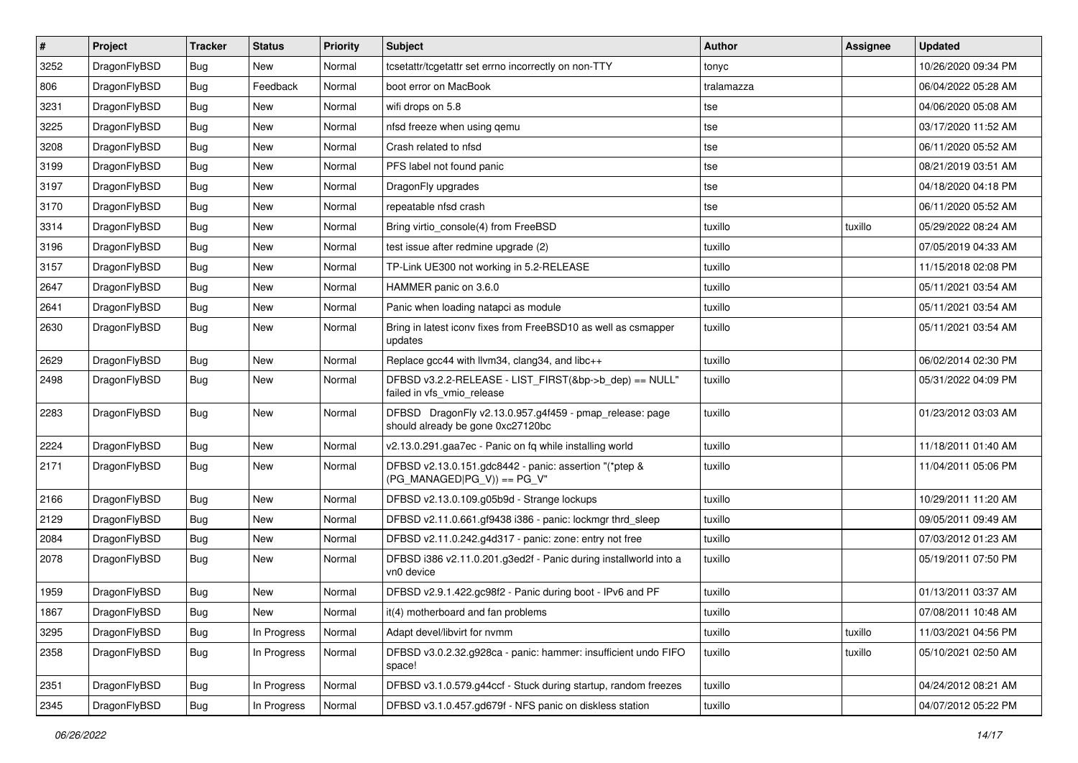| $\pmb{\#}$ | Project      | <b>Tracker</b> | <b>Status</b> | <b>Priority</b> | <b>Subject</b>                                                                               | <b>Author</b> | <b>Assignee</b> | <b>Updated</b>      |
|------------|--------------|----------------|---------------|-----------------|----------------------------------------------------------------------------------------------|---------------|-----------------|---------------------|
| 3252       | DragonFlyBSD | Bug            | New           | Normal          | tcsetattr/tcgetattr set errno incorrectly on non-TTY                                         | tonyc         |                 | 10/26/2020 09:34 PM |
| 806        | DragonFlyBSD | Bug            | Feedback      | Normal          | boot error on MacBook                                                                        | tralamazza    |                 | 06/04/2022 05:28 AM |
| 3231       | DragonFlyBSD | Bug            | New           | Normal          | wifi drops on 5.8                                                                            | tse           |                 | 04/06/2020 05:08 AM |
| 3225       | DragonFlyBSD | Bug            | <b>New</b>    | Normal          | nfsd freeze when using gemu                                                                  | tse           |                 | 03/17/2020 11:52 AM |
| 3208       | DragonFlyBSD | Bug            | <b>New</b>    | Normal          | Crash related to nfsd                                                                        | tse           |                 | 06/11/2020 05:52 AM |
| 3199       | DragonFlyBSD | <b>Bug</b>     | New           | Normal          | PFS label not found panic                                                                    | tse           |                 | 08/21/2019 03:51 AM |
| 3197       | DragonFlyBSD | Bug            | <b>New</b>    | Normal          | DragonFly upgrades                                                                           | tse           |                 | 04/18/2020 04:18 PM |
| 3170       | DragonFlyBSD | Bug            | New           | Normal          | repeatable nfsd crash                                                                        | tse           |                 | 06/11/2020 05:52 AM |
| 3314       | DragonFlyBSD | Bug            | <b>New</b>    | Normal          | Bring virtio_console(4) from FreeBSD                                                         | tuxillo       | tuxillo         | 05/29/2022 08:24 AM |
| 3196       | DragonFlyBSD | Bug            | <b>New</b>    | Normal          | test issue after redmine upgrade (2)                                                         | tuxillo       |                 | 07/05/2019 04:33 AM |
| 3157       | DragonFlyBSD | <b>Bug</b>     | <b>New</b>    | Normal          | TP-Link UE300 not working in 5.2-RELEASE                                                     | tuxillo       |                 | 11/15/2018 02:08 PM |
| 2647       | DragonFlyBSD | Bug            | <b>New</b>    | Normal          | HAMMER panic on 3.6.0                                                                        | tuxillo       |                 | 05/11/2021 03:54 AM |
| 2641       | DragonFlyBSD | Bug            | New           | Normal          | Panic when loading natapci as module                                                         | tuxillo       |                 | 05/11/2021 03:54 AM |
| 2630       | DragonFlyBSD | Bug            | <b>New</b>    | Normal          | Bring in latest iconv fixes from FreeBSD10 as well as csmapper<br>updates                    | tuxillo       |                 | 05/11/2021 03:54 AM |
| 2629       | DragonFlyBSD | Bug            | <b>New</b>    | Normal          | Replace gcc44 with llvm34, clang34, and libc++                                               | tuxillo       |                 | 06/02/2014 02:30 PM |
| 2498       | DragonFlyBSD | Bug            | New           | Normal          | DFBSD v3.2.2-RELEASE - LIST_FIRST(&bp->b_dep) == NULL"<br>failed in vfs_vmio_release         | tuxillo       |                 | 05/31/2022 04:09 PM |
| 2283       | DragonFlyBSD | Bug            | New           | Normal          | DFBSD DragonFly v2.13.0.957.g4f459 - pmap_release: page<br>should already be gone 0xc27120bc | tuxillo       |                 | 01/23/2012 03:03 AM |
| 2224       | DragonFlyBSD | Bug            | New           | Normal          | v2.13.0.291.gaa7ec - Panic on fq while installing world                                      | tuxillo       |                 | 11/18/2011 01:40 AM |
| 2171       | DragonFlyBSD | Bug            | New           | Normal          | DFBSD v2.13.0.151.gdc8442 - panic: assertion "(*ptep &<br>$(PG_MANAGED PG_V)) == PG_V"$      | tuxillo       |                 | 11/04/2011 05:06 PM |
| 2166       | DragonFlyBSD | Bug            | New           | Normal          | DFBSD v2.13.0.109.g05b9d - Strange lockups                                                   | tuxillo       |                 | 10/29/2011 11:20 AM |
| 2129       | DragonFlyBSD | Bug            | <b>New</b>    | Normal          | DFBSD v2.11.0.661.gf9438 i386 - panic: lockmgr thrd_sleep                                    | tuxillo       |                 | 09/05/2011 09:49 AM |
| 2084       | DragonFlyBSD | Bug            | New           | Normal          | DFBSD v2.11.0.242.g4d317 - panic: zone: entry not free                                       | tuxillo       |                 | 07/03/2012 01:23 AM |
| 2078       | DragonFlyBSD | Bug            | New           | Normal          | DFBSD i386 v2.11.0.201.g3ed2f - Panic during installworld into a<br>vn0 device               | tuxillo       |                 | 05/19/2011 07:50 PM |
| 1959       | DragonFlyBSD | Bug            | <b>New</b>    | Normal          | DFBSD v2.9.1.422.gc98f2 - Panic during boot - IPv6 and PF                                    | tuxillo       |                 | 01/13/2011 03:37 AM |
| 1867       | DragonFlyBSD | Bug            | New           | Normal          | it(4) motherboard and fan problems                                                           | tuxillo       |                 | 07/08/2011 10:48 AM |
| 3295       | DragonFlyBSD | Bug            | In Progress   | Normal          | Adapt devel/libvirt for nvmm                                                                 | tuxillo       | tuxillo         | 11/03/2021 04:56 PM |
| 2358       | DragonFlyBSD | Bug            | In Progress   | Normal          | DFBSD v3.0.2.32.g928ca - panic: hammer: insufficient undo FIFO<br>space!                     | tuxillo       | tuxillo         | 05/10/2021 02:50 AM |
| 2351       | DragonFlyBSD | Bug            | In Progress   | Normal          | DFBSD v3.1.0.579.g44ccf - Stuck during startup, random freezes                               | tuxillo       |                 | 04/24/2012 08:21 AM |
| 2345       | DragonFlyBSD | <b>Bug</b>     | In Progress   | Normal          | DFBSD v3.1.0.457.gd679f - NFS panic on diskless station                                      | tuxillo       |                 | 04/07/2012 05:22 PM |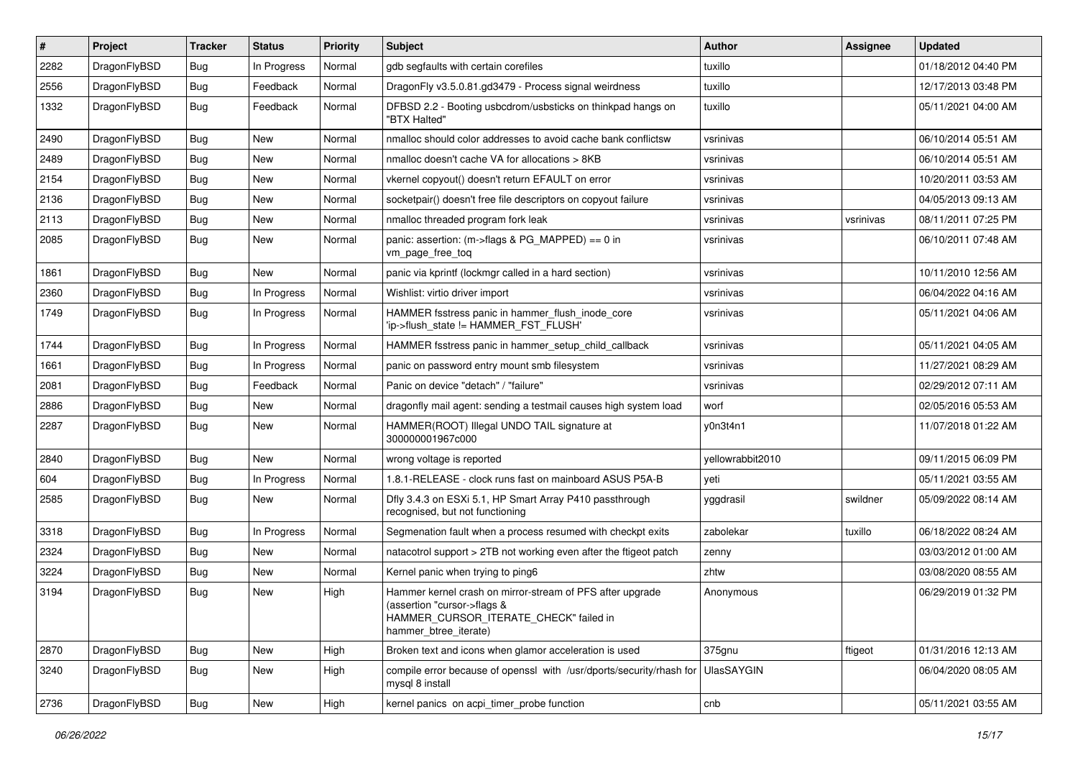| #    | Project      | <b>Tracker</b> | <b>Status</b> | <b>Priority</b> | Subject                                                                                                                                                     | <b>Author</b>     | Assignee  | <b>Updated</b>      |
|------|--------------|----------------|---------------|-----------------|-------------------------------------------------------------------------------------------------------------------------------------------------------------|-------------------|-----------|---------------------|
| 2282 | DragonFlyBSD | <b>Bug</b>     | In Progress   | Normal          | gdb segfaults with certain corefiles                                                                                                                        | tuxillo           |           | 01/18/2012 04:40 PM |
| 2556 | DragonFlyBSD | <b>Bug</b>     | Feedback      | Normal          | DragonFly v3.5.0.81.gd3479 - Process signal weirdness                                                                                                       | tuxillo           |           | 12/17/2013 03:48 PM |
| 1332 | DragonFlyBSD | Bug            | Feedback      | Normal          | DFBSD 2.2 - Booting usbcdrom/usbsticks on thinkpad hangs on<br>"BTX Halted"                                                                                 | tuxillo           |           | 05/11/2021 04:00 AM |
| 2490 | DragonFlyBSD | Bug            | <b>New</b>    | Normal          | nmalloc should color addresses to avoid cache bank conflictsw                                                                                               | vsrinivas         |           | 06/10/2014 05:51 AM |
| 2489 | DragonFlyBSD | <b>Bug</b>     | New           | Normal          | nmalloc doesn't cache VA for allocations > 8KB                                                                                                              | vsrinivas         |           | 06/10/2014 05:51 AM |
| 2154 | DragonFlyBSD | Bug            | <b>New</b>    | Normal          | vkernel copyout() doesn't return EFAULT on error                                                                                                            | vsrinivas         |           | 10/20/2011 03:53 AM |
| 2136 | DragonFlyBSD | <b>Bug</b>     | <b>New</b>    | Normal          | socketpair() doesn't free file descriptors on copyout failure                                                                                               | vsrinivas         |           | 04/05/2013 09:13 AM |
| 2113 | DragonFlyBSD | <b>Bug</b>     | New           | Normal          | nmalloc threaded program fork leak                                                                                                                          | vsrinivas         | vsrinivas | 08/11/2011 07:25 PM |
| 2085 | DragonFlyBSD | Bug            | <b>New</b>    | Normal          | panic: assertion: (m->flags & PG_MAPPED) == 0 in<br>vm_page_free_toq                                                                                        | vsrinivas         |           | 06/10/2011 07:48 AM |
| 1861 | DragonFlyBSD | Bug            | <b>New</b>    | Normal          | panic via kprintf (lockmgr called in a hard section)                                                                                                        | vsrinivas         |           | 10/11/2010 12:56 AM |
| 2360 | DragonFlyBSD | <b>Bug</b>     | In Progress   | Normal          | Wishlist: virtio driver import                                                                                                                              | vsrinivas         |           | 06/04/2022 04:16 AM |
| 1749 | DragonFlyBSD | <b>Bug</b>     | In Progress   | Normal          | HAMMER fsstress panic in hammer_flush_inode_core<br>'ip->flush_state != HAMMER_FST_FLUSH'                                                                   | vsrinivas         |           | 05/11/2021 04:06 AM |
| 1744 | DragonFlyBSD | Bug            | In Progress   | Normal          | HAMMER fsstress panic in hammer_setup_child_callback                                                                                                        | vsrinivas         |           | 05/11/2021 04:05 AM |
| 1661 | DragonFlyBSD | <b>Bug</b>     | In Progress   | Normal          | panic on password entry mount smb filesystem                                                                                                                | vsrinivas         |           | 11/27/2021 08:29 AM |
| 2081 | DragonFlyBSD | Bug            | Feedback      | Normal          | Panic on device "detach" / "failure"                                                                                                                        | vsrinivas         |           | 02/29/2012 07:11 AM |
| 2886 | DragonFlyBSD | <b>Bug</b>     | New           | Normal          | dragonfly mail agent: sending a testmail causes high system load                                                                                            | worf              |           | 02/05/2016 05:53 AM |
| 2287 | DragonFlyBSD | <b>Bug</b>     | <b>New</b>    | Normal          | HAMMER(ROOT) Illegal UNDO TAIL signature at<br>300000001967c000                                                                                             | y0n3t4n1          |           | 11/07/2018 01:22 AM |
| 2840 | DragonFlyBSD | Bug            | New           | Normal          | wrong voltage is reported                                                                                                                                   | yellowrabbit2010  |           | 09/11/2015 06:09 PM |
| 604  | DragonFlyBSD | Bug            | In Progress   | Normal          | 1.8.1-RELEASE - clock runs fast on mainboard ASUS P5A-B                                                                                                     | yeti              |           | 05/11/2021 03:55 AM |
| 2585 | DragonFlyBSD | <b>Bug</b>     | <b>New</b>    | Normal          | Dfly 3.4.3 on ESXi 5.1, HP Smart Array P410 passthrough<br>recognised, but not functioning                                                                  | yggdrasil         | swildner  | 05/09/2022 08:14 AM |
| 3318 | DragonFlyBSD | Bug            | In Progress   | Normal          | Segmenation fault when a process resumed with checkpt exits                                                                                                 | zabolekar         | tuxillo   | 06/18/2022 08:24 AM |
| 2324 | DragonFlyBSD | <b>Bug</b>     | New           | Normal          | natacotrol support > 2TB not working even after the ftigeot patch                                                                                           | zenny             |           | 03/03/2012 01:00 AM |
| 3224 | DragonFlyBSD | <b>Bug</b>     | New           | Normal          | Kernel panic when trying to ping6                                                                                                                           | zhtw              |           | 03/08/2020 08:55 AM |
| 3194 | DragonFlyBSD | Bug            | New           | High            | Hammer kernel crash on mirror-stream of PFS after upgrade<br>(assertion "cursor->flags &<br>HAMMER CURSOR ITERATE CHECK" failed in<br>hammer_btree_iterate) | Anonymous         |           | 06/29/2019 01:32 PM |
| 2870 | DragonFlyBSD | <b>Bug</b>     | <b>New</b>    | High            | Broken text and icons when glamor acceleration is used                                                                                                      | 375gnu            | ftigeot   | 01/31/2016 12:13 AM |
| 3240 | DragonFlyBSD | Bug            | New           | High            | compile error because of openssl with /usr/dports/security/rhash for<br>mysql 8 install                                                                     | <b>UlasSAYGIN</b> |           | 06/04/2020 08:05 AM |
| 2736 | DragonFlyBSD | <b>Bug</b>     | New           | High            | kernel panics on acpi_timer_probe function                                                                                                                  | cnb               |           | 05/11/2021 03:55 AM |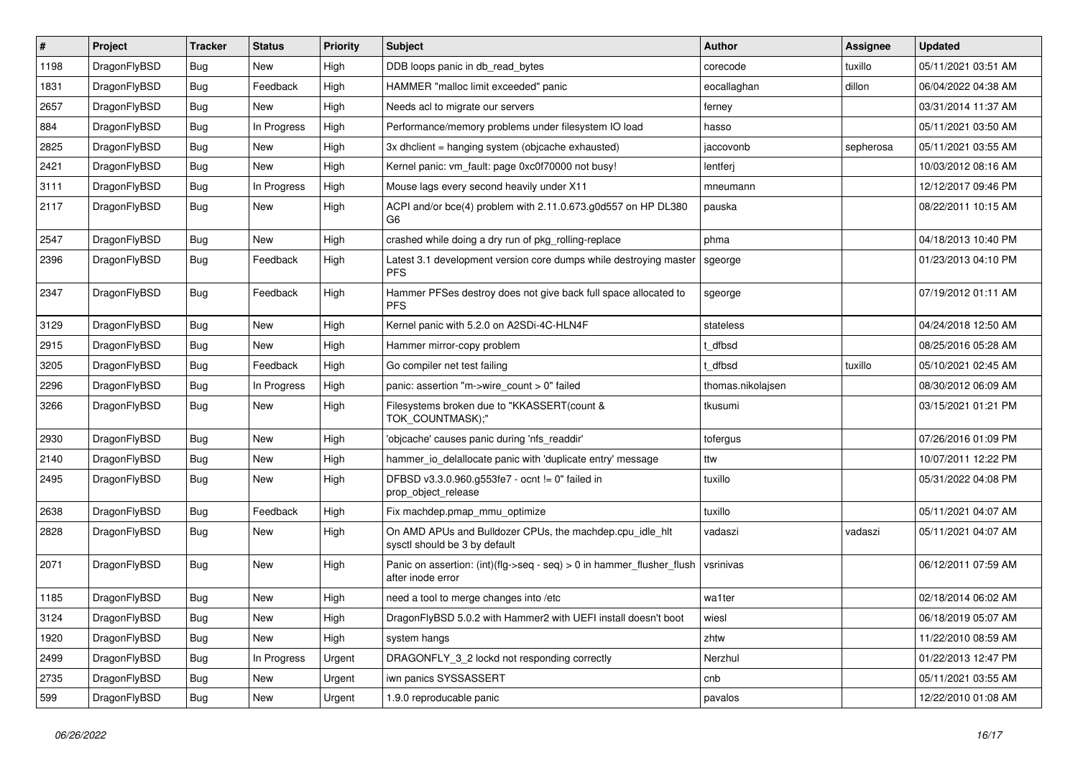| $\vert$ # | Project      | <b>Tracker</b> | <b>Status</b> | <b>Priority</b> | <b>Subject</b>                                                                                | <b>Author</b>     | Assignee  | <b>Updated</b>      |
|-----------|--------------|----------------|---------------|-----------------|-----------------------------------------------------------------------------------------------|-------------------|-----------|---------------------|
| 1198      | DragonFlyBSD | Bug            | <b>New</b>    | High            | DDB loops panic in db_read_bytes                                                              | corecode          | tuxillo   | 05/11/2021 03:51 AM |
| 1831      | DragonFlyBSD | <b>Bug</b>     | Feedback      | High            | HAMMER "malloc limit exceeded" panic                                                          | eocallaghan       | dillon    | 06/04/2022 04:38 AM |
| 2657      | DragonFlyBSD | <b>Bug</b>     | New           | High            | Needs acl to migrate our servers                                                              | ferney            |           | 03/31/2014 11:37 AM |
| 884       | DragonFlyBSD | Bug            | In Progress   | High            | Performance/memory problems under filesystem IO load                                          | hasso             |           | 05/11/2021 03:50 AM |
| 2825      | DragonFlyBSD | Bug            | <b>New</b>    | High            | 3x dhclient = hanging system (objcache exhausted)                                             | iaccovonb         | sepherosa | 05/11/2021 03:55 AM |
| 2421      | DragonFlyBSD | <b>Bug</b>     | New           | High            | Kernel panic: vm_fault: page 0xc0f70000 not busy!                                             | lentferj          |           | 10/03/2012 08:16 AM |
| 3111      | DragonFlyBSD | Bug            | In Progress   | High            | Mouse lags every second heavily under X11                                                     | mneumann          |           | 12/12/2017 09:46 PM |
| 2117      | DragonFlyBSD | Bug            | <b>New</b>    | High            | ACPI and/or bce(4) problem with 2.11.0.673.g0d557 on HP DL380<br>G6                           | pauska            |           | 08/22/2011 10:15 AM |
| 2547      | DragonFlyBSD | Bug            | <b>New</b>    | High            | crashed while doing a dry run of pkg_rolling-replace                                          | phma              |           | 04/18/2013 10:40 PM |
| 2396      | DragonFlyBSD | <b>Bug</b>     | Feedback      | High            | Latest 3.1 development version core dumps while destroying master<br><b>PFS</b>               | sgeorge           |           | 01/23/2013 04:10 PM |
| 2347      | DragonFlyBSD | <b>Bug</b>     | Feedback      | High            | Hammer PFSes destroy does not give back full space allocated to<br><b>PFS</b>                 | sgeorge           |           | 07/19/2012 01:11 AM |
| 3129      | DragonFlyBSD | Bug            | <b>New</b>    | High            | Kernel panic with 5.2.0 on A2SDi-4C-HLN4F                                                     | stateless         |           | 04/24/2018 12:50 AM |
| 2915      | DragonFlyBSD | <b>Bug</b>     | New           | High            | Hammer mirror-copy problem                                                                    | dfbsd             |           | 08/25/2016 05:28 AM |
| 3205      | DragonFlyBSD | <b>Bug</b>     | Feedback      | High            | Go compiler net test failing                                                                  | dfbsd             | tuxillo   | 05/10/2021 02:45 AM |
| 2296      | DragonFlyBSD | <b>Bug</b>     | In Progress   | High            | panic: assertion "m->wire_count > 0" failed                                                   | thomas.nikolajsen |           | 08/30/2012 06:09 AM |
| 3266      | DragonFlyBSD | Bug            | New           | High            | Filesystems broken due to "KKASSERT(count &<br>TOK_COUNTMASK);"                               | tkusumi           |           | 03/15/2021 01:21 PM |
| 2930      | DragonFlyBSD | Bug            | New           | High            | 'objcache' causes panic during 'nfs_readdir'                                                  | tofergus          |           | 07/26/2016 01:09 PM |
| 2140      | DragonFlyBSD | <b>Bug</b>     | <b>New</b>    | High            | hammer_io_delallocate panic with 'duplicate entry' message                                    | ttw               |           | 10/07/2011 12:22 PM |
| 2495      | DragonFlyBSD | <b>Bug</b>     | <b>New</b>    | High            | DFBSD v3.3.0.960.g553fe7 - ocnt != 0" failed in<br>prop_object_release                        | tuxillo           |           | 05/31/2022 04:08 PM |
| 2638      | DragonFlyBSD | Bug            | Feedback      | High            | Fix machdep.pmap_mmu_optimize                                                                 | tuxillo           |           | 05/11/2021 04:07 AM |
| 2828      | DragonFlyBSD | Bug            | <b>New</b>    | High            | On AMD APUs and Bulldozer CPUs, the machdep.cpu idle hlt<br>sysctl should be 3 by default     | vadaszi           | vadaszi   | 05/11/2021 04:07 AM |
| 2071      | DragonFlyBSD | Bug            | <b>New</b>    | High            | Panic on assertion: $(int)(flag->seq - seq) > 0$ in hammer flusher flush<br>after inode error | vsrinivas         |           | 06/12/2011 07:59 AM |
| 1185      | DragonFlyBSD | Bug            | <b>New</b>    | High            | need a tool to merge changes into /etc                                                        | wa1ter            |           | 02/18/2014 06:02 AM |
| 3124      | DragonFlyBSD | Bug            | New           | High            | DragonFlyBSD 5.0.2 with Hammer2 with UEFI install doesn't boot                                | wiesl             |           | 06/18/2019 05:07 AM |
| 1920      | DragonFlyBSD | <b>Bug</b>     | New           | High            | system hangs                                                                                  | zhtw              |           | 11/22/2010 08:59 AM |
| 2499      | DragonFlyBSD | <b>Bug</b>     | In Progress   | Urgent          | DRAGONFLY_3_2 lockd not responding correctly                                                  | Nerzhul           |           | 01/22/2013 12:47 PM |
| 2735      | DragonFlyBSD | <b>Bug</b>     | New           | Urgent          | iwn panics SYSSASSERT                                                                         | cnb               |           | 05/11/2021 03:55 AM |
| 599       | DragonFlyBSD | Bug            | New           | Urgent          | 1.9.0 reproducable panic                                                                      | pavalos           |           | 12/22/2010 01:08 AM |